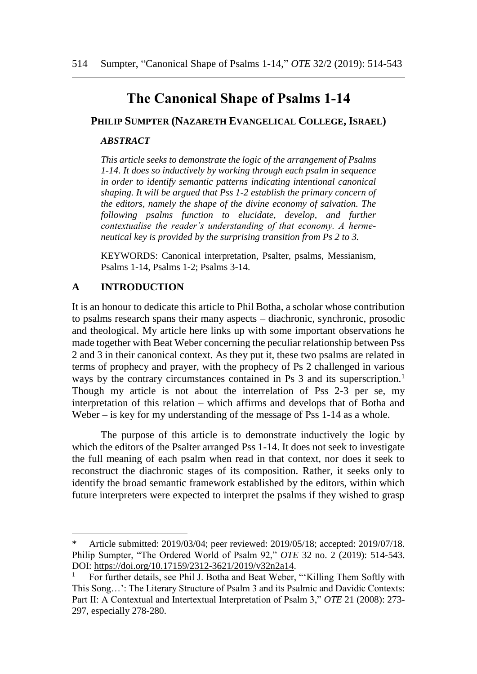# **The Canonical Shape of Psalms 1-14**

**PHILIP SUMPTER (NAZARETH EVANGELICAL COLLEGE,ISRAEL)**

#### *ABSTRACT*

*This article seeks to demonstrate the logic of the arrangement of Psalms 1-14. It does so inductively by working through each psalm in sequence in order to identify semantic patterns indicating intentional canonical shaping. It will be argued that Pss 1-2 establish the primary concern of the editors, namely the shape of the divine economy of salvation. The following psalms function to elucidate, develop, and further contextualise the reader's understanding of that economy. A hermeneutical key is provided by the surprising transition from Ps 2 to 3.*

KEYWORDS: Canonical interpretation, Psalter, psalms, Messianism, Psalms 1-14, Psalms 1-2; Psalms 3-14.

### **A INTRODUCTION**

 $\overline{a}$ 

It is an honour to dedicate this article to Phil Botha, a scholar whose contribution to psalms research spans their many aspects – diachronic, synchronic, prosodic and theological. My article here links up with some important observations he made together with Beat Weber concerning the peculiar relationship between Pss 2 and 3 in their canonical context. As they put it, these two psalms are related in terms of prophecy and prayer, with the prophecy of Ps 2 challenged in various ways by the contrary circumstances contained in Ps 3 and its superscription.<sup>1</sup> Though my article is not about the interrelation of Pss 2-3 per se, my interpretation of this relation – which affirms and develops that of Botha and Weber – is key for my understanding of the message of Pss 1-14 as a whole.

The purpose of this article is to demonstrate inductively the logic by which the editors of the Psalter arranged Pss 1-14. It does not seek to investigate the full meaning of each psalm when read in that context, nor does it seek to reconstruct the diachronic stages of its composition. Rather, it seeks only to identify the broad semantic framework established by the editors, within which future interpreters were expected to interpret the psalms if they wished to grasp

Article submitted: 2019/03/04; peer reviewed: 2019/05/18; accepted: 2019/07/18. Philip Sumpter, "The Ordered World of Psalm 92," *OTE* 32 no. 2 (2019): 514-543. DOI: [https://doi.org/10.17159/2312-3621/2019/v32n2a14.](https://doi.org/10.17159/2312-3621/2019/v32n2a14)

<sup>1</sup> For further details, see Phil J. Botha and Beat Weber, "'Killing Them Softly with This Song…': The Literary Structure of Psalm 3 and its Psalmic and Davidic Contexts: Part II: A Contextual and Intertextual Interpretation of Psalm 3," *OTE* 21 (2008): 273- 297, especially 278-280.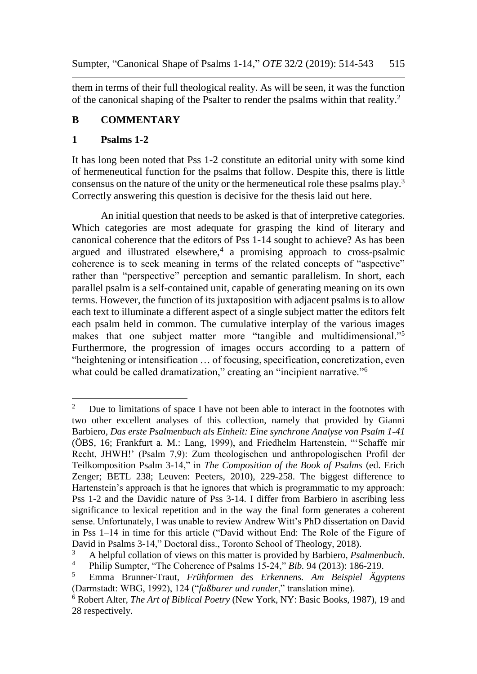them in terms of their full theological reality. As will be seen, it was the function of the canonical shaping of the Psalter to render the psalms within that reality. 2

# **B COMMENTARY**

# **1 Psalms 1-2**

l

It has long been noted that Pss 1-2 constitute an editorial unity with some kind of hermeneutical function for the psalms that follow. Despite this, there is little consensus on the nature of the unity or the hermeneutical role these psalms play.<sup>3</sup> Correctly answering this question is decisive for the thesis laid out here.

An initial question that needs to be asked is that of interpretive categories. Which categories are most adequate for grasping the kind of literary and canonical coherence that the editors of Pss 1-14 sought to achieve? As has been argued and illustrated elsewhere,<sup>4</sup> a promising approach to cross-psalmic coherence is to seek meaning in terms of the related concepts of "aspective" rather than "perspective" perception and semantic parallelism. In short, each parallel psalm is a self-contained unit, capable of generating meaning on its own terms. However, the function of its juxtaposition with adjacent psalms is to allow each text to illuminate a different aspect of a single subject matter the editors felt each psalm held in common. The cumulative interplay of the various images makes that one subject matter more "tangible and multidimensional."<sup>5</sup> Furthermore, the progression of images occurs according to a pattern of "heightening or intensification … of focusing, specification, concretization, even what could be called dramatization," creating an "incipient narrative."<sup>6</sup>

<sup>&</sup>lt;sup>2</sup> Due to limitations of space I have not been able to interact in the footnotes with two other excellent analyses of this collection, namely that provided by Gianni Barbiero, *Das erste Psalmenbuch als Einheit: Eine synchrone Analyse von Psalm 1-41* (ÖBS, 16; Frankfurt a. M.: Lang, 1999), and Friedhelm Hartenstein, "'Schaffe mir Recht, JHWH!' (Psalm 7,9): Zum theologischen und anthropologischen Profil der Teilkomposition Psalm 3-14," in *The Composition of the Book of Psalms* (ed. Erich Zenger; BETL 238; Leuven: Peeters, 2010), 229-258. The biggest difference to Hartenstein's approach is that he ignores that which is programmatic to my approach: Pss 1-2 and the Davidic nature of Pss 3-14. I differ from Barbiero in ascribing less significance to lexical repetition and in the way the final form generates a coherent sense. Unfortunately, I was unable to review Andrew Witt's PhD dissertation on David in Pss 1–14 in time for this article ("David without End: The Role of the Figure of David in Psalms 3-14," Doctoral diss., Toronto School of Theology, 2018).

<sup>&</sup>lt;sup>3</sup> A helpful collation of views on this matter is provided by Barbiero, *Psalmenbuch*.<br><sup>4</sup> Philip Sumptor "The Coherence of Psalms 15.24" *Pib.* 04.(2013): 186.210

<sup>4</sup> Philip Sumpter, "The Coherence of Psalms 15-24," *Bib.* 94 (2013): 186-219.

<sup>5</sup> Emma Brunner-Traut, *Frühformen des Erkennens. Am Beispiel Ägyptens* (Darmstadt: WBG, 1992), 124 ("*faßbarer und runder*," translation mine).

<sup>6</sup> Robert Alter, *The Art of Biblical Poetry* (New York, NY: Basic Books, 1987), 19 and 28 respectively.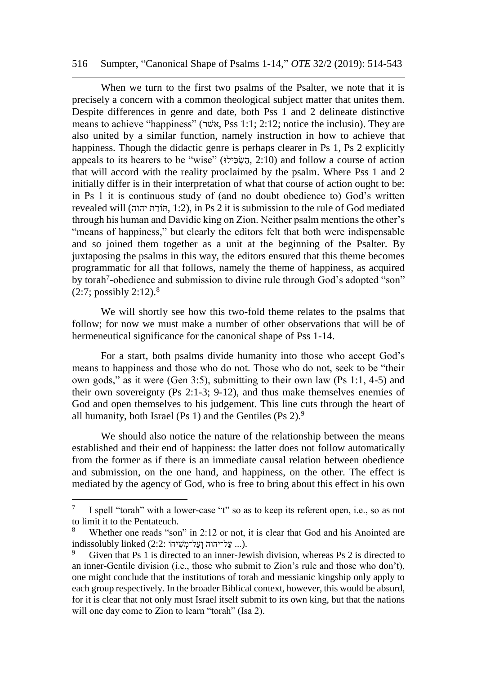#### 516 Sumpter, "Canonical Shape of Psalms 1-14," *OTE* 32/2 (2019): 514-543

When we turn to the first two psalms of the Psalter, we note that it is precisely a concern with a common theological subject matter that unites them. Despite differences in genre and date, both Pss 1 and 2 delineate distinctive means to achieve "happiness" (שרׁא, Pss 1:1; 2:12; notice the inclusio). They are also united by a similar function, namely instruction in how to achieve that happiness. Though the didactic genre is perhaps clearer in Ps 1, Ps 2 explicitly appeals to its hearers to be "wise" (הָשֶׂכִּילוּ, 2:10) and follow a course of action that will accord with the reality proclaimed by the psalm. Where Pss 1 and 2 initially differ is in their interpretation of what that course of action ought to be: in Ps 1 it is continuous study of (and no doubt obedience to) God's written revealed will (הוֹרת יהוה, 1:2), in Ps 2 it is submission to the rule of God mediated through his human and Davidic king on Zion. Neither psalm mentions the other's "means of happiness," but clearly the editors felt that both were indispensable and so joined them together as a unit at the beginning of the Psalter. By juxtaposing the psalms in this way, the editors ensured that this theme becomes programmatic for all that follows, namely the theme of happiness, as acquired by torah<sup>7</sup>-obedience and submission to divine rule through God's adopted "son"  $(2:7;$  possibly  $2:12$ ).<sup>8</sup>

We will shortly see how this two-fold theme relates to the psalms that follow; for now we must make a number of other observations that will be of hermeneutical significance for the canonical shape of Pss 1-14.

For a start, both psalms divide humanity into those who accept God's means to happiness and those who do not. Those who do not, seek to be "their own gods," as it were (Gen 3:5), submitting to their own law (Ps 1:1, 4-5) and their own sovereignty (Ps 2:1-3; 9-12), and thus make themselves enemies of God and open themselves to his judgement. This line cuts through the heart of all humanity, both Israel (Ps 1) and the Gentiles (Ps  $2$ ).<sup>9</sup>

We should also notice the nature of the relationship between the means established and their end of happiness: the latter does not follow automatically from the former as if there is an immediate causal relation between obedience and submission, on the one hand, and happiness, on the other. The effect is mediated by the agency of God, who is free to bring about this effect in his own

<sup>7</sup> I spell "torah" with a lower-case "t" so as to keep its referent open, i.e., so as not to limit it to the Pentateuch.

Whether one reads "son" in 2:12 or not, it is clear that God and his Anointed are indissolubly linked (2:2: עֲל־יהוה וְעַל־מָּשִׁיחֹו בְּי ישׁיחוֹ...

Given that Ps 1 is directed to an inner-Jewish division, whereas Ps 2 is directed to an inner-Gentile division (i.e., those who submit to Zion's rule and those who don't), one might conclude that the institutions of torah and messianic kingship only apply to each group respectively. In the broader Biblical context, however, this would be absurd, for it is clear that not only must Israel itself submit to its own king, but that the nations will one day come to Zion to learn "torah" (Isa 2).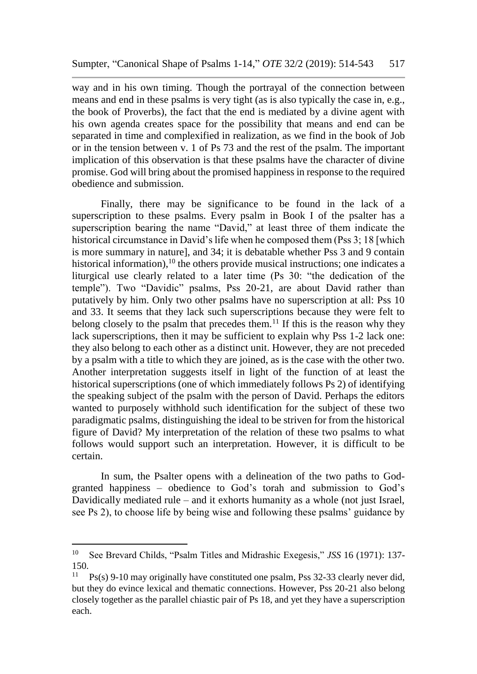way and in his own timing. Though the portrayal of the connection between means and end in these psalms is very tight (as is also typically the case in, e.g., the book of Proverbs), the fact that the end is mediated by a divine agent with his own agenda creates space for the possibility that means and end can be separated in time and complexified in realization, as we find in the book of Job or in the tension between v. 1 of Ps 73 and the rest of the psalm. The important implication of this observation is that these psalms have the character of divine promise. God will bring about the promised happiness in response to the required obedience and submission.

Finally, there may be significance to be found in the lack of a superscription to these psalms. Every psalm in Book I of the psalter has a superscription bearing the name "David," at least three of them indicate the historical circumstance in David's life when he composed them (Pss 3; 18 [which is more summary in nature], and 34; it is debatable whether Pss 3 and 9 contain historical information), $10$  the others provide musical instructions; one indicates a liturgical use clearly related to a later time (Ps 30: "the dedication of the temple"). Two "Davidic" psalms, Pss 20-21, are about David rather than putatively by him. Only two other psalms have no superscription at all: Pss 10 and 33. It seems that they lack such superscriptions because they were felt to belong closely to the psalm that precedes them.<sup>11</sup> If this is the reason why they lack superscriptions, then it may be sufficient to explain why Pss 1-2 lack one: they also belong to each other as a distinct unit. However, they are not preceded by a psalm with a title to which they are joined, as is the case with the other two. Another interpretation suggests itself in light of the function of at least the historical superscriptions (one of which immediately follows Ps 2) of identifying the speaking subject of the psalm with the person of David. Perhaps the editors wanted to purposely withhold such identification for the subject of these two paradigmatic psalms, distinguishing the ideal to be striven for from the historical figure of David? My interpretation of the relation of these two psalms to what follows would support such an interpretation. However, it is difficult to be certain.

In sum, the Psalter opens with a delineation of the two paths to Godgranted happiness – obedience to God's torah and submission to God's Davidically mediated rule – and it exhorts humanity as a whole (not just Israel, see Ps 2), to choose life by being wise and following these psalms' guidance by

<sup>10</sup> See Brevard Childs, "Psalm Titles and Midrashic Exegesis," *JSS* 16 (1971): 137- 150.

 $Ps(s)$  9-10 may originally have constituted one psalm, Pss 32-33 clearly never did, but they do evince lexical and thematic connections. However, Pss 20-21 also belong closely together as the parallel chiastic pair of Ps 18, and yet they have a superscription each.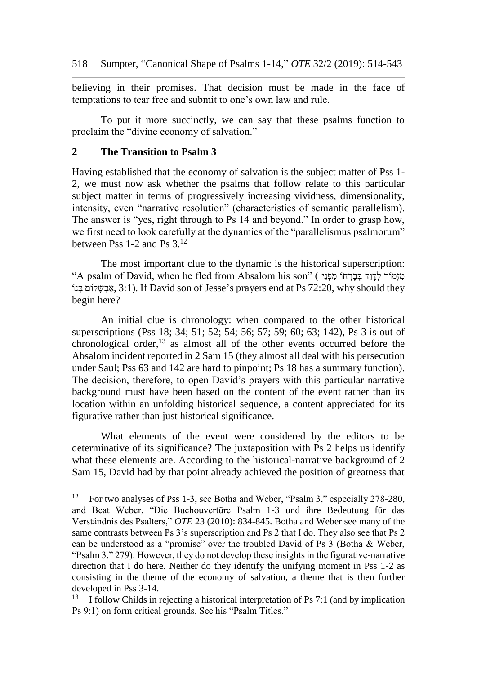believing in their promises. That decision must be made in the face of temptations to tear free and submit to one's own law and rule.

To put it more succinctly, we can say that these psalms function to proclaim the "divine economy of salvation."

## **2 The Transition to Psalm 3**

Having established that the economy of salvation is the subject matter of Pss 1- 2, we must now ask whether the psalms that follow relate to this particular subject matter in terms of progressively increasing vividness, dimensionality, intensity, even "narrative resolution" (characteristics of semantic parallelism). The answer is "yes, right through to Ps 14 and beyond." In order to grasp how, we first need to look carefully at the dynamics of the "parallelismus psalmorum" between Pss 1-2 and Ps 3.<sup>12</sup>

The most important clue to the dynamic is the historical superscription: "A psalm of David, when he fled from Absalom his son" ( מִזמֹר לְדוֹד בַּבַרְחוֹ מִפּוֹי ) יאבשלום בּנוֹג, 3:1). If David son of Jesse's prayers end at Ps 72:20, why should they begin here?

An initial clue is chronology: when compared to the other historical superscriptions (Pss 18; 34; 51; 52; 54; 56; 57; 59; 60; 63; 142), Ps 3 is out of chronological order, $13$  as almost all of the other events occurred before the Absalom incident reported in 2 Sam 15 (they almost all deal with his persecution under Saul; Pss 63 and 142 are hard to pinpoint; Ps 18 has a summary function). The decision, therefore, to open David's prayers with this particular narrative background must have been based on the content of the event rather than its location within an unfolding historical sequence, a content appreciated for its figurative rather than just historical significance.

What elements of the event were considered by the editors to be determinative of its significance? The juxtaposition with Ps 2 helps us identify what these elements are. According to the historical-narrative background of 2 Sam 15, David had by that point already achieved the position of greatness that

<sup>12</sup> <sup>12</sup> For two analyses of Pss 1-3, see Botha and Weber, "Psalm 3," especially 278-280, and Beat Weber, "Die Buchouvertüre Psalm 1-3 und ihre Bedeutung für das Verständnis des Psalters," *OTE* 23 (2010): 834-845. Botha and Weber see many of the same contrasts between Ps 3's superscription and Ps 2 that I do. They also see that Ps 2 can be understood as a "promise" over the troubled David of Ps 3 (Botha & Weber, "Psalm 3," 279). However, they do not develop these insights in the figurative-narrative direction that I do here. Neither do they identify the unifying moment in Pss 1-2 as consisting in the theme of the economy of salvation, a theme that is then further developed in Pss  $3-14$ .<br> $^{13}$  I follow Childs in

<sup>13</sup> I follow Childs in rejecting a historical interpretation of Ps 7:1 (and by implication Ps 9:1) on form critical grounds. See his "Psalm Titles."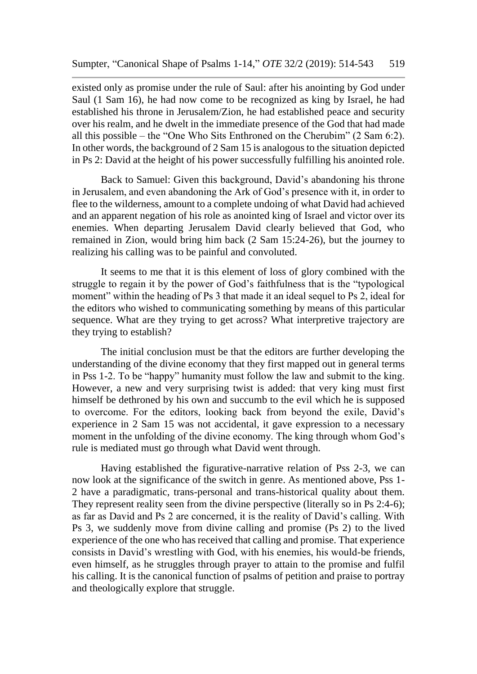existed only as promise under the rule of Saul: after his anointing by God under Saul (1 Sam 16), he had now come to be recognized as king by Israel, he had established his throne in Jerusalem/Zion, he had established peace and security over his realm, and he dwelt in the immediate presence of the God that had made all this possible – the "One Who Sits Enthroned on the Cherubim" (2 Sam 6:2). In other words, the background of 2 Sam 15 is analogous to the situation depicted in Ps 2: David at the height of his power successfully fulfilling his anointed role.

Back to Samuel: Given this background, David's abandoning his throne in Jerusalem, and even abandoning the Ark of God's presence with it, in order to flee to the wilderness, amount to a complete undoing of what David had achieved and an apparent negation of his role as anointed king of Israel and victor over its enemies. When departing Jerusalem David clearly believed that God, who remained in Zion, would bring him back (2 Sam 15:24-26), but the journey to realizing his calling was to be painful and convoluted.

It seems to me that it is this element of loss of glory combined with the struggle to regain it by the power of God's faithfulness that is the "typological moment" within the heading of Ps 3 that made it an ideal sequel to Ps 2, ideal for the editors who wished to communicating something by means of this particular sequence. What are they trying to get across? What interpretive trajectory are they trying to establish?

The initial conclusion must be that the editors are further developing the understanding of the divine economy that they first mapped out in general terms in Pss 1-2. To be "happy" humanity must follow the law and submit to the king. However, a new and very surprising twist is added: that very king must first himself be dethroned by his own and succumb to the evil which he is supposed to overcome. For the editors, looking back from beyond the exile, David's experience in 2 Sam 15 was not accidental, it gave expression to a necessary moment in the unfolding of the divine economy. The king through whom God's rule is mediated must go through what David went through.

Having established the figurative-narrative relation of Pss 2-3, we can now look at the significance of the switch in genre. As mentioned above, Pss 1- 2 have a paradigmatic, trans-personal and trans-historical quality about them. They represent reality seen from the divine perspective (literally so in Ps 2:4-6); as far as David and Ps 2 are concerned, it is the reality of David's calling. With Ps 3, we suddenly move from divine calling and promise (Ps 2) to the lived experience of the one who has received that calling and promise. That experience consists in David's wrestling with God, with his enemies, his would-be friends, even himself, as he struggles through prayer to attain to the promise and fulfil his calling. It is the canonical function of psalms of petition and praise to portray and theologically explore that struggle.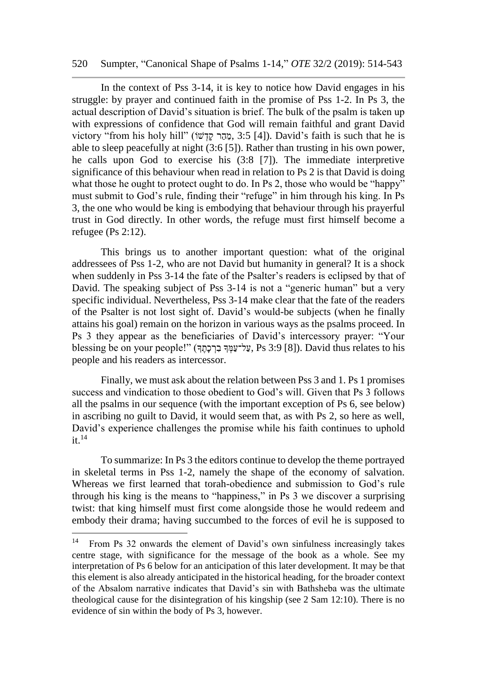#### 520 Sumpter, "Canonical Shape of Psalms 1-14," *OTE* 32/2 (2019): 514-543

In the context of Pss 3-14, it is key to notice how David engages in his struggle: by prayer and continued faith in the promise of Pss 1-2. In Ps 3, the actual description of David's situation is brief. The bulk of the psalm is taken up with expressions of confidence that God will remain faithful and grant David victory "from his holy hill" (מהר קדשׁה, 3:5 [4]). David's faith is such that he is able to sleep peacefully at night (3:6 [5]). Rather than trusting in his own power, he calls upon God to exercise his (3:8 [7]). The immediate interpretive significance of this behaviour when read in relation to Ps 2 is that David is doing what those he ought to protect ought to do. In Ps 2, those who would be "happy" must submit to God's rule, finding their "refuge" in him through his king. In Ps 3, the one who would be king is embodying that behaviour through his prayerful trust in God directly. In other words, the refuge must first himself become a refugee (Ps 2:12).

This brings us to another important question: what of the original addressees of Pss 1-2, who are not David but humanity in general? It is a shock when suddenly in Pss 3-14 the fate of the Psalter's readers is eclipsed by that of David. The speaking subject of Pss 3-14 is not a "generic human" but a very specific individual. Nevertheless, Pss 3-14 make clear that the fate of the readers of the Psalter is not lost sight of. David's would-be subjects (when he finally attains his goal) remain on the horizon in various ways as the psalms proceed. In Ps 3 they appear as the beneficiaries of David's intercessory prayer: "Your blessing be on your people!" (עֲלִ־עֲמֵּךְ בְרָכְתֵךְ Ps 3:9 [8]). David thus relates to his people and his readers as intercessor.

Finally, we must ask about the relation between Pss 3 and 1. Ps 1 promises success and vindication to those obedient to God's will. Given that Ps 3 follows all the psalms in our sequence (with the important exception of Ps 6, see below) in ascribing no guilt to David, it would seem that, as with Ps 2, so here as well, David's experience challenges the promise while his faith continues to uphold  $it.<sup>14</sup>$ 

To summarize: In Ps 3 the editors continue to develop the theme portrayed in skeletal terms in Pss 1-2, namely the shape of the economy of salvation. Whereas we first learned that torah-obedience and submission to God's rule through his king is the means to "happiness," in Ps 3 we discover a surprising twist: that king himself must first come alongside those he would redeem and embody their drama; having succumbed to the forces of evil he is supposed to

<sup>&</sup>lt;sup>14</sup> From Ps 32 onwards the element of David's own sinfulness increasingly takes centre stage, with significance for the message of the book as a whole. See my interpretation of Ps 6 below for an anticipation of this later development. It may be that this element is also already anticipated in the historical heading, for the broader context of the Absalom narrative indicates that David's sin with Bathsheba was the ultimate theological cause for the disintegration of his kingship (see 2 Sam 12:10). There is no evidence of sin within the body of Ps 3, however.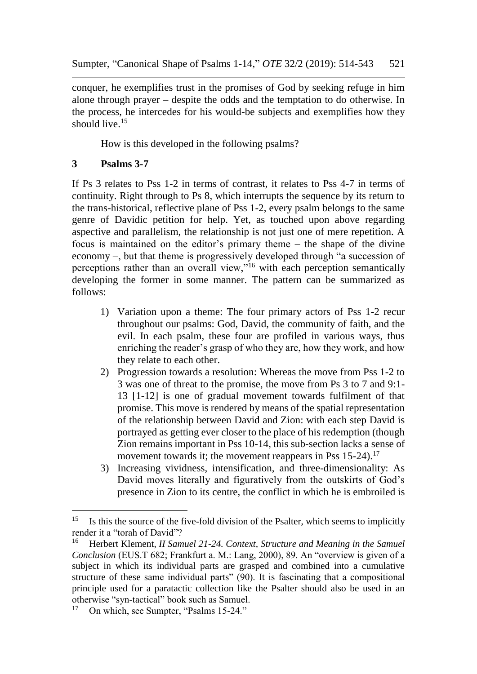conquer, he exemplifies trust in the promises of God by seeking refuge in him alone through prayer – despite the odds and the temptation to do otherwise. In the process, he intercedes for his would-be subjects and exemplifies how they should live.<sup>15</sup>

How is this developed in the following psalms?

# **3 Psalms 3-7**

If Ps 3 relates to Pss 1-2 in terms of contrast, it relates to Pss 4-7 in terms of continuity. Right through to Ps 8, which interrupts the sequence by its return to the trans-historical, reflective plane of Pss 1-2, every psalm belongs to the same genre of Davidic petition for help. Yet, as touched upon above regarding aspective and parallelism, the relationship is not just one of mere repetition. A focus is maintained on the editor's primary theme – the shape of the divine economy –, but that theme is progressively developed through "a succession of perceptions rather than an overall view,"<sup>16</sup> with each perception semantically developing the former in some manner. The pattern can be summarized as follows:

- 1) Variation upon a theme: The four primary actors of Pss 1-2 recur throughout our psalms: God, David, the community of faith, and the evil. In each psalm, these four are profiled in various ways, thus enriching the reader's grasp of who they are, how they work, and how they relate to each other.
- 2) Progression towards a resolution: Whereas the move from Pss 1-2 to 3 was one of threat to the promise, the move from Ps 3 to 7 and 9:1- 13 [1-12] is one of gradual movement towards fulfilment of that promise. This move is rendered by means of the spatial representation of the relationship between David and Zion: with each step David is portrayed as getting ever closer to the place of his redemption (though Zion remains important in Pss 10-14, this sub-section lacks a sense of movement towards it; the movement reappears in Pss  $15-24$ ).<sup>17</sup>
- 3) Increasing vividness, intensification, and three-dimensionality: As David moves literally and figuratively from the outskirts of God's presence in Zion to its centre, the conflict in which he is embroiled is

<sup>&</sup>lt;sup>15</sup> Is this the source of the five-fold division of the Psalter, which seems to implicitly render it a "torah of David"?

<sup>16</sup> Herbert Klement, *II Samuel 21-24. Context, Structure and Meaning in the Samuel Conclusion* (EUS.T 682; Frankfurt a. M.: Lang, 2000), 89. An "overview is given of a subject in which its individual parts are grasped and combined into a cumulative structure of these same individual parts" (90). It is fascinating that a compositional principle used for a paratactic collection like the Psalter should also be used in an otherwise "syn-tactical" book such as Samuel.

<sup>&</sup>lt;sup>17</sup> On which, see Sumpter, "Psalms 15-24."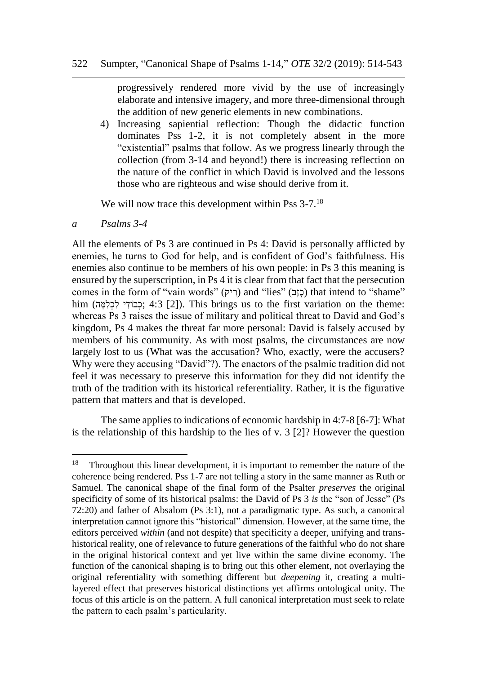progressively rendered more vivid by the use of increasingly elaborate and intensive imagery, and more three-dimensional through the addition of new generic elements in new combinations.

4) Increasing sapiential reflection: Though the didactic function dominates Pss 1-2, it is not completely absent in the more "existential" psalms that follow. As we progress linearly through the collection (from 3-14 and beyond!) there is increasing reflection on the nature of the conflict in which David is involved and the lessons those who are righteous and wise should derive from it.

We will now trace this development within Pss 3-7.<sup>18</sup>

*a Psalms 3-4*

All the elements of Ps 3 are continued in Ps 4: David is personally afflicted by enemies, he turns to God for help, and is confident of God's faithfulness. His enemies also continue to be members of his own people: in Ps 3 this meaning is ensured by the superscription, in Ps 4 it is clear from that fact that the persecution comes in the form of "vain words" (רִיק) and "lies" (כָזָב) that intend to "shame" him (כְּבוֹדִי לְכִלְמָּה; 4:3 [2]). This brings us to the first variation on the theme: whereas Ps 3 raises the issue of military and political threat to David and God's kingdom, Ps 4 makes the threat far more personal: David is falsely accused by members of his community. As with most psalms, the circumstances are now largely lost to us (What was the accusation? Who, exactly, were the accusers? Why were they accusing "David"?). The enactors of the psalmic tradition did not feel it was necessary to preserve this information for they did not identify the truth of the tradition with its historical referentiality. Rather, it is the figurative pattern that matters and that is developed.

The same applies to indications of economic hardship in 4:7-8 [6-7]: What is the relationship of this hardship to the lies of v. 3 [2]? However the question

<sup>18</sup> Throughout this linear development, it is important to remember the nature of the coherence being rendered. Pss 1-7 are not telling a story in the same manner as Ruth or Samuel. The canonical shape of the final form of the Psalter *preserves* the original specificity of some of its historical psalms: the David of Ps 3 *is* the "son of Jesse" (Ps 72:20) and father of Absalom (Ps 3:1), not a paradigmatic type. As such, a canonical interpretation cannot ignore this "historical" dimension. However, at the same time, the editors perceived *within* (and not despite) that specificity a deeper, unifying and transhistorical reality, one of relevance to future generations of the faithful who do not share in the original historical context and yet live within the same divine economy. The function of the canonical shaping is to bring out this other element, not overlaying the original referentiality with something different but *deepening* it, creating a multilayered effect that preserves historical distinctions yet affirms ontological unity. The focus of this article is on the pattern. A full canonical interpretation must seek to relate the pattern to each psalm's particularity.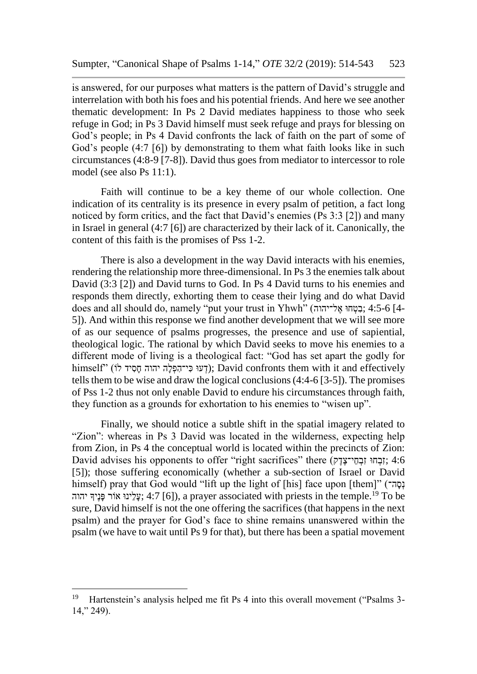is answered, for our purposes what matters is the pattern of David's struggle and interrelation with both his foes and his potential friends. And here we see another thematic development: In Ps 2 David mediates happiness to those who seek refuge in God; in Ps 3 David himself must seek refuge and prays for blessing on God's people; in Ps 4 David confronts the lack of faith on the part of some of God's people (4:7 [6]) by demonstrating to them what faith looks like in such circumstances (4:8-9 [7-8]). David thus goes from mediator to intercessor to role model (see also Ps 11:1).

Faith will continue to be a key theme of our whole collection. One indication of its centrality is its presence in every psalm of petition, a fact long noticed by form critics, and the fact that David's enemies ( $\overline{Ps}$  3:3 [2]) and many in Israel in general (4:7 [6]) are characterized by their lack of it. Canonically, the content of this faith is the promises of Pss 1-2.

There is also a development in the way David interacts with his enemies, rendering the relationship more three-dimensional. In Ps 3 the enemies talk about David (3:3 [2]) and David turns to God. In Ps 4 David turns to his enemies and responds them directly, exhorting them to cease their lying and do what David does and all should do, namely "put your trust in Yhwh" (בִּטְחוּ אֱל־יהוה; 4:5-6) 4-5]). And within this response we find another development that we will see more of as our sequence of psalms progresses, the presence and use of sapiential, theological logic. The rational by which David seeks to move his enemies to a different mode of living is a theological fact: "God has set apart the godly for himself" (דְעוּ כִּי־הָפְלָה יהוה חָסִיד לֹוֹ); David confronts them with it and effectively tells them to be wise and draw the logical conclusions (4:4-6 [3-5]). The promises of Pss 1-2 thus not only enable David to endure his circumstances through faith, they function as a grounds for exhortation to his enemies to "wisen up".

Finally, we should notice a subtle shift in the spatial imagery related to "Zion": whereas in Ps 3 David was located in the wilderness, expecting help from Zion, in Ps 4 the conceptual world is located within the precincts of Zion: David advises his opponents to offer "right sacrifices" there (זָבְהוּ זָבְהִי־צֶדָק); 4:6 [5]); those suffering economically (whether a sub-section of Israel or David himself) pray that God would "lift up the light of [his] face upon [them]" (נסה־ נְלֵינוּ אוֹר פָּנֵיִךְ יהוה; 4:7 [6]), a prayer associated with priests in the temple.<sup>[9</sup> To be sure, David himself is not the one offering the sacrifices (that happens in the next psalm) and the prayer for God's face to shine remains unanswered within the psalm (we have to wait until Ps 9 for that), but there has been a spatial movement

l

<sup>19</sup> Hartenstein's analysis helped me fit Ps 4 into this overall movement ("Psalms 3- 14," 249).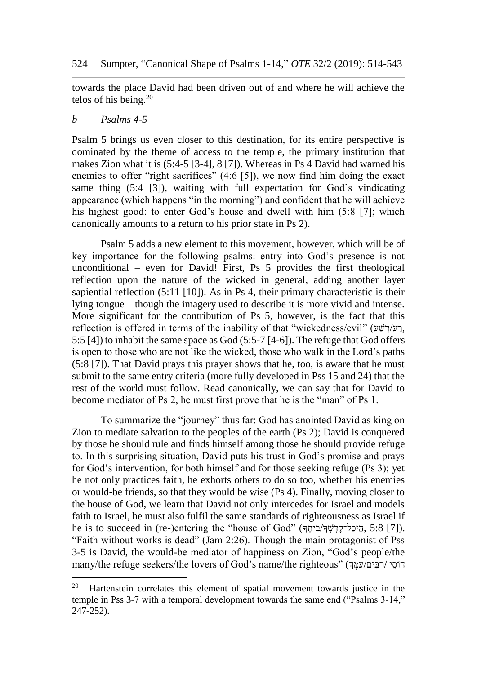#### 524 Sumpter, "Canonical Shape of Psalms 1-14," *OTE* 32/2 (2019): 514-543

towards the place David had been driven out of and where he will achieve the telos of his being.<sup>20</sup>

## *b Psalms 4-5*

 $\overline{a}$ 

Psalm 5 brings us even closer to this destination, for its entire perspective is dominated by the theme of access to the temple, the primary institution that makes Zion what it is (5:4-5 [3-4], 8 [7]). Whereas in Ps 4 David had warned his enemies to offer "right sacrifices" (4:6 [5]), we now find him doing the exact same thing (5:4 [3]), waiting with full expectation for God's vindicating appearance (which happens "in the morning") and confident that he will achieve his highest good: to enter God's house and dwell with him (5:8 [7]; which canonically amounts to a return to his prior state in Ps 2).

Psalm 5 adds a new element to this movement, however, which will be of key importance for the following psalms: entry into God's presence is not unconditional – even for David! First, Ps  $5$  provides the first theological reflection upon the nature of the wicked in general, adding another layer sapiential reflection (5:11 [10]). As in Ps 4, their primary characteristic is their lying tongue – though the imagery used to describe it is more vivid and intense. More significant for the contribution of Ps 5, however, is the fact that this reflection is offered in terms of the inability of that "wickedness/evil" (עָלְשָׁע יָךָ, 5:5 [4]) to inhabit the same space as God (5:5-7 [4-6]). The refuge that God offers is open to those who are not like the wicked, those who walk in the Lord's paths (5:8 [7]). That David prays this prayer shows that he, too, is aware that he must submit to the same entry criteria (more fully developed in Pss 15 and 24) that the rest of the world must follow. Read canonically, we can say that for David to become mediator of Ps 2, he must first prove that he is the "man" of Ps 1.

To summarize the "journey" thus far: God has anointed David as king on Zion to mediate salvation to the peoples of the earth (Ps 2); David is conquered by those he should rule and finds himself among those he should provide refuge to. In this surprising situation, David puts his trust in God's promise and prays for God's intervention, for both himself and for those seeking refuge (Ps 3); yet he not only practices faith, he exhorts others to do so too, whether his enemies or would-be friends, so that they would be wise (Ps 4). Finally, moving closer to the house of God, we learn that David not only intercedes for Israel and models faith to Israel, he must also fulfil the same standards of righteousness as Israel if he is to succeed in (re-)entering the "house of God" (הֵיכַל־קַדְשָׁךְ/בְיחֵד, 5:8]. "Faith without works is dead" (Jam 2:26). Though the main protagonist of Pss 3-5 is David, the would-be mediator of happiness on Zion, "God's people/the many/the refuge seekers/the lovers of God's name/the righteous" (רְבִים/עָמָך ) הוֹסֵי

<sup>&</sup>lt;sup>20</sup> Hartenstein correlates this element of spatial movement towards justice in the temple in Pss 3-7 with a temporal development towards the same end ("Psalms 3-14," 247-252).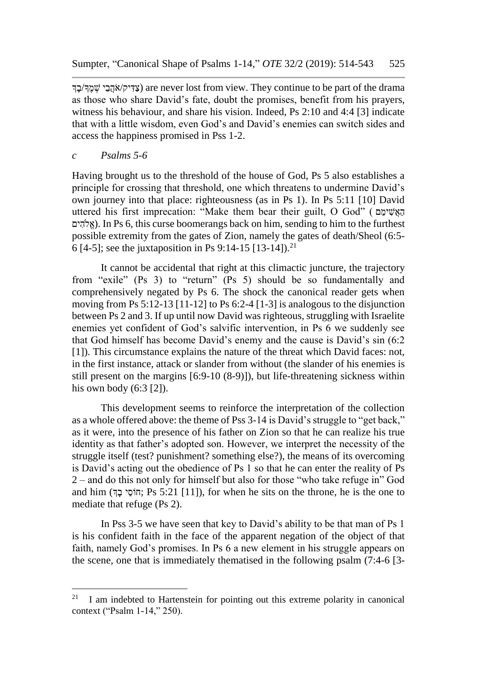יְשָׁמְּךָ/בָּךְ (grְיק/אֹהֶבֵי שָׁמֵהּ/בְּדָ as those who share David's fate, doubt the promises, benefit from his prayers, witness his behaviour, and share his vision. Indeed, Ps 2:10 and 4:4 [3] indicate that with a little wisdom, even God's and David's enemies can switch sides and access the happiness promised in Pss 1-2.

## *c Psalms 5-6*

Having brought us to the threshold of the house of God, Ps 5 also establishes a principle for crossing that threshold, one which threatens to undermine David's own journey into that place: righteousness (as in Ps 1). In Ps 5:11 [10] David uttered his first imprecation: "Make them bear their guilt, O God" ( ם ֵימ ִּשֲׁאַה אֵלהֶים). In Ps 6, this curse boomerangs back on him, sending to him to the furthest possible extremity from the gates of Zion, namely the gates of death/Sheol (6:5- 6 [4-5]; see the juxtaposition in Ps 9:14-15 [13-14]).<sup>21</sup>

It cannot be accidental that right at this climactic juncture, the trajectory from "exile" (Ps 3) to "return" (Ps 5) should be so fundamentally and comprehensively negated by Ps 6. The shock the canonical reader gets when moving from Ps 5:12-13 [11-12] to Ps 6:2-4 [1-3] is analogous to the disjunction between Ps 2 and 3. If up until now David was righteous, struggling with Israelite enemies yet confident of God's salvific intervention, in Ps 6 we suddenly see that God himself has become David's enemy and the cause is David's sin (6:2 [1]). This circumstance explains the nature of the threat which David faces: not, in the first instance, attack or slander from without (the slander of his enemies is still present on the margins [6:9-10 (8-9)]), but life-threatening sickness within his own body  $(6:3 [2])$ .

This development seems to reinforce the interpretation of the collection as a whole offered above: the theme of Pss 3-14 is David's struggle to "get back," as it were, into the presence of his father on Zion so that he can realize his true identity as that father's adopted son. However, we interpret the necessity of the struggle itself (test? punishment? something else?), the means of its overcoming is David's acting out the obedience of Ps 1 so that he can enter the reality of Ps 2 – and do this not only for himself but also for those "who take refuge in" God and him (הוֹסֵי בַדּ); Ps 5:21 [11]), for when he sits on the throne, he is the one to mediate that refuge (Ps 2).

In Pss 3-5 we have seen that key to David's ability to be that man of Ps 1 is his confident faith in the face of the apparent negation of the object of that faith, namely God's promises. In Ps 6 a new element in his struggle appears on the scene, one that is immediately thematised in the following psalm (7:4-6 [3-

<sup>21</sup> <sup>21</sup> I am indebted to Hartenstein for pointing out this extreme polarity in canonical context ("Psalm 1-14," 250).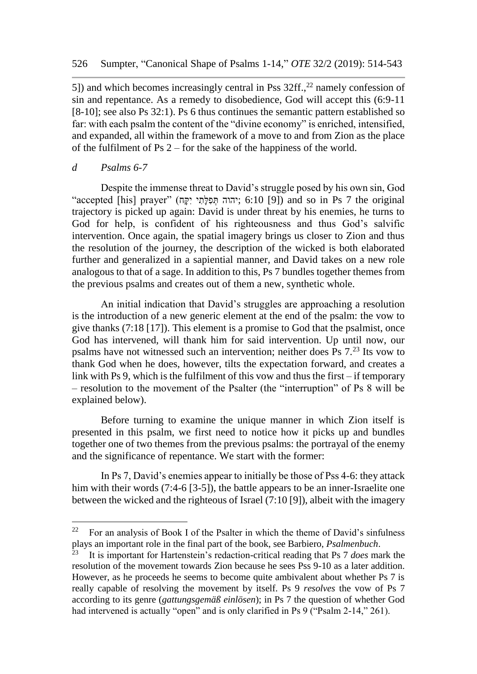5]) and which becomes increasingly central in Pss  $32ff^{22}$  namely confession of sin and repentance. As a remedy to disobedience, God will accept this (6:9-11 [8-10]; see also Ps 32:1). Ps 6 thus continues the semantic pattern established so far: with each psalm the content of the "divine economy" is enriched, intensified, and expanded, all within the framework of a move to and from Zion as the place of the fulfilment of Ps 2 – for the sake of the happiness of the world.

# *d Psalms 6-7*

Despite the immense threat to David's struggle posed by his own sin, God "accepted [his] prayer" (יהוה תִּפְלָּתִי יִקָּח) and so in Ps 7 the original trajectory is picked up again: David is under threat by his enemies, he turns to God for help, is confident of his righteousness and thus God's salvific intervention. Once again, the spatial imagery brings us closer to Zion and thus the resolution of the journey, the description of the wicked is both elaborated further and generalized in a sapiential manner, and David takes on a new role analogous to that of a sage. In addition to this, Ps 7 bundles together themes from the previous psalms and creates out of them a new, synthetic whole.

An initial indication that David's struggles are approaching a resolution is the introduction of a new generic element at the end of the psalm: the vow to give thanks (7:18 [17]). This element is a promise to God that the psalmist, once God has intervened, will thank him for said intervention. Up until now, our psalms have not witnessed such an intervention; neither does  $\tilde{P}$ s 7.<sup>23</sup> Its vow to thank God when he does, however, tilts the expectation forward, and creates a link with Ps 9, which is the fulfilment of this vow and thus the first – if temporary – resolution to the movement of the Psalter (the "interruption" of Ps 8 will be explained below).

Before turning to examine the unique manner in which Zion itself is presented in this psalm, we first need to notice how it picks up and bundles together one of two themes from the previous psalms: the portrayal of the enemy and the significance of repentance. We start with the former:

In Ps 7, David's enemies appear to initially be those of Pss 4-6: they attack him with their words (7:4-6 [3-5]), the battle appears to be an inner-Israelite one between the wicked and the righteous of Israel (7:10 [9]), albeit with the imagery

 $22$ <sup>22</sup> For an analysis of Book I of the Psalter in which the theme of David's sinfulness plays an important role in the final part of the book, see Barbiero, *Psalmenbuch*.

<sup>23</sup> It is important for Hartenstein's redaction-critical reading that Ps 7 *does* mark the resolution of the movement towards Zion because he sees Pss 9-10 as a later addition. However, as he proceeds he seems to become quite ambivalent about whether Ps 7 is really capable of resolving the movement by itself. Ps 9 *resolves* the vow of Ps 7 according to its genre (*gattungsgemäß einlösen*); in Ps 7 the question of whether God had intervened is actually "open" and is only clarified in Ps 9 ("Psalm 2-14," 261).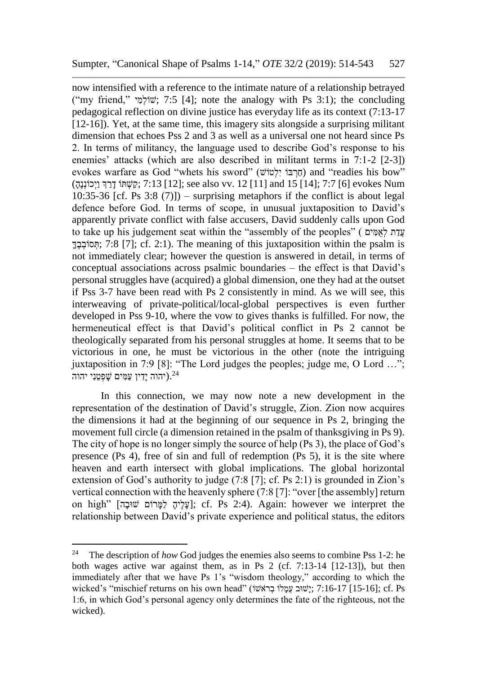now intensified with a reference to the intimate nature of a relationship betrayed ("my friend," ישוֹלְמִי; 7:5 [4]; note the analogy with Ps 3:1); the concluding pedagogical reflection on divine justice has everyday life as its context (7:13-17 [12-16]). Yet, at the same time, this imagery sits alongside a surprising militant dimension that echoes Pss 2 and 3 as well as a universal one not heard since Ps 2. In terms of militancy, the language used to describe God's response to his enemies' attacks (which are also described in militant terms in 7:1-2 [2-3]) evokes warfare as God "whets his sword" (שוֹטוֹשׁ) and "readies his bow" (קַטֶּתּוֹ דְרַךְּ וַיְכוֹנְנֶה; 7:13 [12]; see also vv. 12 [11] and 15 [14]; 7:7 [6] evokes Num 10:35-36 [cf. Ps 3:8  $(7)$ ]) – surprising metaphors if the conflict is about legal defence before God. In terms of scope, in unusual juxtaposition to David's apparently private conflict with false accusers, David suddenly calls upon God to take up his judgement seat within the "assembly of the peoples" ( עדת לאמים ָתְּסוֹבְבֶךְ  $7:8$  [7]; cf. 2:1). The meaning of this juxtaposition within the psalm is not immediately clear; however the question is answered in detail, in terms of conceptual associations across psalmic boundaries – the effect is that David's personal struggles have (acquired) a global dimension, one they had at the outset if Pss 3-7 have been read with Ps 2 consistently in mind. As we will see, this interweaving of private-political/local-global perspectives is even further developed in Pss 9-10, where the vow to gives thanks is fulfilled. For now, the hermeneutical effect is that David's political conflict in Ps 2 cannot be theologically separated from his personal struggles at home. It seems that to be victorious in one, he must be victorious in the other (note the intriguing juxtaposition in 7:9 [8]: "The Lord judges the peoples; judge me, O Lord …"; יהוה יַדִין עַמְים שַׁפְטֵנִי יהוה. $^{24}$ 

In this connection, we may now note a new development in the representation of the destination of David's struggle, Zion. Zion now acquires the dimensions it had at the beginning of our sequence in Ps 2, bringing the movement full circle (a dimension retained in the psalm of thanksgiving in Ps 9). The city of hope is no longer simply the source of help (Ps 3), the place of God's presence (Ps 4), free of sin and full of redemption (Ps 5), it is the site where heaven and earth intersect with global implications. The global horizontal extension of God's authority to judge (7:8 [7]; cf. Ps 2:1) is grounded in Zion's vertical connection with the heavenly sphere (7:8 [7]: "over [the assembly] return on high" [עֲלֶיהָ לָמֵרוֹם שׁוּבָה]; cf. Ps 2:4). Again: however we interpret the relationship between David's private experience and political status, the editors

<sup>&</sup>lt;sup>24</sup> The description of *how* God judges the enemies also seems to combine Pss 1-2: he both wages active war against them, as in Ps 2 (cf. 7:13-14 [12-13]), but then immediately after that we have Ps 1's "wisdom theology," according to which the wicked's "mischief returns on his own head" (יָשׁוּב עֲמָלוֹ בְרֹאׁשׁוֹ); 7:16-17 [15-16]; cf. Ps 1:6, in which God's personal agency only determines the fate of the righteous, not the wicked).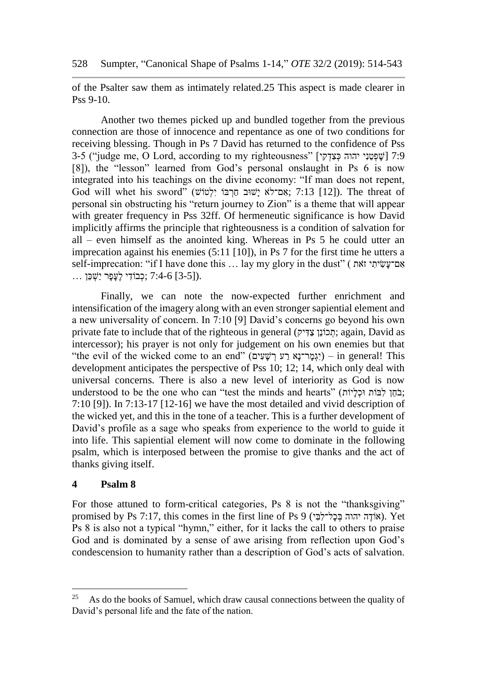of the Psalter saw them as intimately related.25 This aspect is made clearer in Pss 9-10.

Another two themes picked up and bundled together from the previous connection are those of innocence and repentance as one of two conditions for receiving blessing. Though in Ps 7 David has returned to the confidence of Pss 3-5 ("indge me, O Lord, according to my righteousness" ["שְׁכָּטֶנִי יהוה כִּצְדָקִי]  $7:9$ [8]), the "lesson" learned from God's personal onslaught in Ps 6 is now integrated into his teachings on the divine economy: "If man does not repent, God will whet his sword" (אֲמֹרֹלֹא יֹשׁוּב חַרְבּוֹ יִלְטוֹשׁ). The threat of personal sin obstructing his "return journey to Zion" is a theme that will appear with greater frequency in Pss 32ff. Of hermeneutic significance is how David implicitly affirms the principle that righteousness is a condition of salvation for all – even himself as the anointed king. Whereas in Ps 5 he could utter an imprecation against his enemies  $(5:11 \mid 10)$ , in Ps 7 for the first time he utters a self-imprecation: "if I have done this ... lay my glory in the dust" ( אֲם־עַשֶׂיתִי זֹאת .([3-5] 7:4-6 ;כְׂ בֹודִּ י לֶעָפָר יַׁשְׂ כֵן ...

Finally, we can note the now-expected further enrichment and intensification of the imagery along with an even stronger sapiential element and a new universality of concern. In 7:10 [9] David's concerns go beyond his own private fate to include that of the righteous in general (יְתְכוֹנֵן צָדִיק; again, David as intercessor); his prayer is not only for judgement on his own enemies but that "the evil of the wicked come to an end" (יגמר־נא רע רשעים) – in general! This development anticipates the perspective of Pss 10; 12; 14, which only deal with universal concerns. There is also a new level of interiority as God is now understood to be the one who can "test the minds and hearts" (בֹּחוֹ לְבּוֹת וּכִל יוֹת 7:10 [9]). In 7:13-17 [12-16] we have the most detailed and vivid description of the wicked yet, and this in the tone of a teacher. This is a further development of David's profile as a sage who speaks from experience to the world to guide it into life. This sapiential element will now come to dominate in the following psalm, which is interposed between the promise to give thanks and the act of thanks giving itself.

## **4 Psalm 8**

For those attuned to form-critical categories, Ps 8 is not the "thanksgiving" promised by Ps 7:17, this comes in the first line of Ps 9 (אוֹדָה יהוה בְּכַל־לִבִּי). Yet Ps 8 is also not a typical "hymn," either, for it lacks the call to others to praise God and is dominated by a sense of awe arising from reflection upon God's condescension to humanity rather than a description of God's acts of salvation.

<sup>25</sup> As do the books of Samuel, which draw causal connections between the quality of David's personal life and the fate of the nation.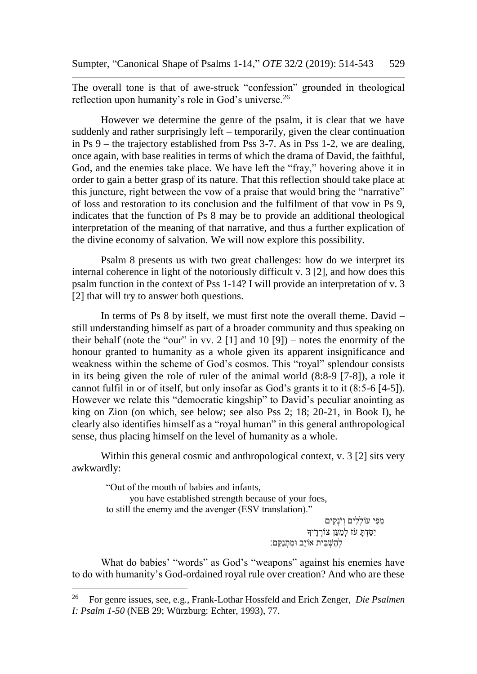The overall tone is that of awe-struck "confession" grounded in theological reflection upon humanity's role in God's universe.<sup>26</sup>

However we determine the genre of the psalm, it is clear that we have suddenly and rather surprisingly left – temporarily, given the clear continuation in Ps 9 – the trajectory established from Pss 3-7. As in Pss 1-2, we are dealing, once again, with base realities in terms of which the drama of David, the faithful, God, and the enemies take place. We have left the "fray," hovering above it in order to gain a better grasp of its nature. That this reflection should take place at this juncture, right between the vow of a praise that would bring the "narrative" of loss and restoration to its conclusion and the fulfilment of that vow in Ps 9, indicates that the function of Ps 8 may be to provide an additional theological interpretation of the meaning of that narrative, and thus a further explication of the divine economy of salvation. We will now explore this possibility.

Psalm 8 presents us with two great challenges: how do we interpret its internal coherence in light of the notoriously difficult v. 3 [2], and how does this psalm function in the context of Pss 1-14? I will provide an interpretation of v. 3 [2] that will try to answer both questions.

In terms of Ps 8 by itself, we must first note the overall theme. David – still understanding himself as part of a broader community and thus speaking on their behalf (note the "our" in vv. 2 [1] and 10 [9]) – notes the enormity of the honour granted to humanity as a whole given its apparent insignificance and weakness within the scheme of God's cosmos. This "royal" splendour consists in its being given the role of ruler of the animal world (8:8-9 [7-8]), a role it cannot fulfil in or of itself, but only insofar as God's grants it to it (8:5-6 [4-5]). However we relate this "democratic kingship" to David's peculiar anointing as king on Zion (on which, see below; see also Pss 2; 18; 20-21, in Book I), he clearly also identifies himself as a "royal human" in this general anthropological sense, thus placing himself on the level of humanity as a whole.

Within this general cosmic and anthropological context, v. 3 [2] sits very awkwardly:

> "Out of the mouth of babies and infants, you have established strength because of your foes, to still the enemy and the avenger (ESV translation)."

מִפִּי עוֹלְלִים וְיֹנְקִים יִפְדָתַ עֹז לְמַעֲן צוֹרְרֵיךָ לְהַשְׁבִּית אוֹיֵב וּמִתְנַקֵּם:

What do babies' "words" as God's "weapons" against his enemies have to do with humanity's God-ordained royal rule over creation? And who are these

<sup>26</sup> <sup>26</sup> For genre issues, see, e.g., Frank-Lothar Hossfeld and Erich Zenger, *Die Psalmen I: Psalm 1-50* (NEB 29; Würzburg: Echter, 1993), 77.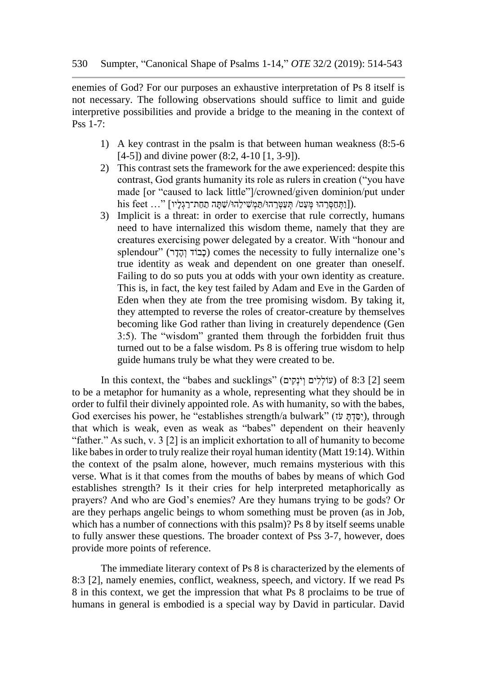enemies of God? For our purposes an exhaustive interpretation of Ps 8 itself is not necessary. The following observations should suffice to limit and guide interpretive possibilities and provide a bridge to the meaning in the context of Pss  $1-7$ :

- 1) A key contrast in the psalm is that between human weakness (8:5-6 [4-5]) and divine power (8:2, 4-10 [1, 3-9]).
- 2) This contrast sets the framework for the awe experienced: despite this contrast, God grants humanity its role as rulers in creation ("you have made [or "caused to lack little"]/crowned/given dominion/put under  $\rm{hist\, feet\, ...\,''}$  [[תַּחַסְּרֵהוּ מִעֲט/ תִּעֲטָּרֶהוּ/תַמְּשִׁילָהוּ/שַׁתְּה תַחַת־רַגְלִיו].
- 3) Implicit is a threat: in order to exercise that rule correctly, humans need to have internalized this wisdom theme, namely that they are creatures exercising power delegated by a creator. With "honour and splendour" (כבוֹד וְהִדְר) comes the necessity to fully internalize one's true identity as weak and dependent on one greater than oneself. Failing to do so puts you at odds with your own identity as creature. This is, in fact, the key test failed by Adam and Eve in the Garden of Eden when they ate from the tree promising wisdom. By taking it, they attempted to reverse the roles of creator-creature by themselves becoming like God rather than living in creaturely dependence (Gen 3:5). The "wisdom" granted them through the forbidden fruit thus turned out to be a false wisdom. Ps 8 is offering true wisdom to help guide humans truly be what they were created to be.

In this context, the "babes and sucklings" (עֹוֹלְלִים וְיֹנִקְיִם) of 8:3 [2] seem to be a metaphor for humanity as a whole, representing what they should be in order to fulfil their divinely appointed role. As with humanity, so with the babes, God exercises his power, he "establishes strength/a bulwark" (ז
"ס
, through that which is weak, even as weak as "babes" dependent on their heavenly "father." As such, v. 3 [2] is an implicit exhortation to all of humanity to become like babes in order to truly realize their royal human identity (Matt 19:14). Within the context of the psalm alone, however, much remains mysterious with this verse. What is it that comes from the mouths of babes by means of which God establishes strength? Is it their cries for help interpreted metaphorically as prayers? And who are God's enemies? Are they humans trying to be gods? Or are they perhaps angelic beings to whom something must be proven (as in Job, which has a number of connections with this psalm)? Ps 8 by itself seems unable to fully answer these questions. The broader context of Pss 3-7, however, does provide more points of reference.

The immediate literary context of Ps 8 is characterized by the elements of 8:3 [2], namely enemies, conflict, weakness, speech, and victory. If we read Ps 8 in this context, we get the impression that what Ps 8 proclaims to be true of humans in general is embodied is a special way by David in particular. David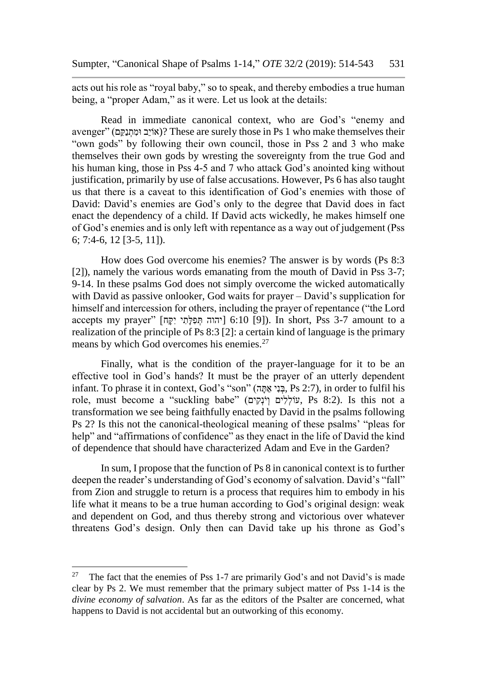acts out his role as "royal baby," so to speak, and thereby embodies a true human being, a "proper Adam," as it were. Let us look at the details:

Read in immediate canonical context, who are God's "enemy and avenger" (אוֹיֵב וּמִתְנַקֵּם)? These are surely those in Ps 1 who make themselves their "own gods" by following their own council, those in Pss 2 and 3 who make themselves their own gods by wresting the sovereignty from the true God and his human king, those in Pss 4-5 and 7 who attack God's anointed king without justification, primarily by use of false accusations. However, Ps 6 has also taught us that there is a caveat to this identification of God's enemies with those of David: David's enemies are God's only to the degree that David does in fact enact the dependency of a child. If David acts wickedly, he makes himself one of God's enemies and is only left with repentance as a way out of judgement (Pss 6; 7:4-6, 12 [3-5, 11]).

How does God overcome his enemies? The answer is by words (Ps 8:3 [2]), namely the various words emanating from the mouth of David in Pss 3-7; 9-14. In these psalms God does not simply overcome the wicked automatically with David as passive onlooker, God waits for prayer – David's supplication for himself and intercession for others, including the prayer of repentance ("the Lord accepts my prayer" [יהוה תִּפְלָתִי יִקָּח] (6:10 [9]). In short, Pss 3-7 amount to a realization of the principle of Ps 8:3 [2]: a certain kind of language is the primary means by which God overcomes his enemies.<sup>27</sup>

Finally, what is the condition of the prayer-language for it to be an effective tool in God's hands? It must be the prayer of an utterly dependent infant. To phrase it in context, God's "son" (בְּנִי אֲתָּה, Ps 2:7), in order to fulfil his role, must become a "suckling babe" (יוֹנְקִים וְיֹנִקְים, Ps 8:2). Is this not a transformation we see being faithfully enacted by David in the psalms following Ps 2? Is this not the canonical-theological meaning of these psalms' "pleas for help" and "affirmations of confidence" as they enact in the life of David the kind of dependence that should have characterized Adam and Eve in the Garden?

In sum, I propose that the function of Ps 8 in canonical context is to further deepen the reader's understanding of God's economy of salvation. David's "fall" from Zion and struggle to return is a process that requires him to embody in his life what it means to be a true human according to God's original design: weak and dependent on God, and thus thereby strong and victorious over whatever threatens God's design. Only then can David take up his throne as God's

<sup>&</sup>lt;sup>27</sup> The fact that the enemies of Pss 1-7 are primarily God's and not David's is made clear by Ps 2. We must remember that the primary subject matter of Pss 1-14 is the *divine economy of salvation*. As far as the editors of the Psalter are concerned, what happens to David is not accidental but an outworking of this economy.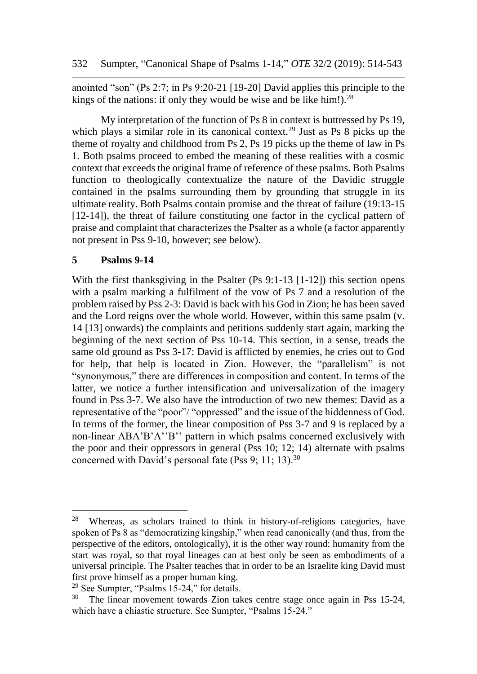anointed "son" (Ps 2:7; in Ps 9:20-21 [19-20] David applies this principle to the kings of the nations: if only they would be wise and be like him!). $^{28}$ 

My interpretation of the function of Ps 8 in context is buttressed by Ps 19, which plays a similar role in its canonical context.<sup>29</sup> Just as Ps 8 picks up the theme of royalty and childhood from Ps 2, Ps 19 picks up the theme of law in Ps 1. Both psalms proceed to embed the meaning of these realities with a cosmic context that exceeds the original frame of reference of these psalms. Both Psalms function to theologically contextualize the nature of the Davidic struggle contained in the psalms surrounding them by grounding that struggle in its ultimate reality. Both Psalms contain promise and the threat of failure (19:13-15 [12-14]), the threat of failure constituting one factor in the cyclical pattern of praise and complaint that characterizes the Psalter as a whole (a factor apparently not present in Pss 9-10, however; see below).

## **5 Psalms 9-14**

 $\overline{a}$ 

With the first thanksgiving in the Psalter (Ps 9:1-13 [1-12]) this section opens with a psalm marking a fulfilment of the vow of Ps 7 and a resolution of the problem raised by Pss 2-3: David is back with his God in Zion; he has been saved and the Lord reigns over the whole world. However, within this same psalm (v. 14 [13] onwards) the complaints and petitions suddenly start again, marking the beginning of the next section of Pss 10-14. This section, in a sense, treads the same old ground as Pss 3-17: David is afflicted by enemies, he cries out to God for help, that help is located in Zion. However, the "parallelism" is not "synonymous," there are differences in composition and content. In terms of the latter, we notice a further intensification and universalization of the imagery found in Pss 3-7. We also have the introduction of two new themes: David as a representative of the "poor"/ "oppressed" and the issue of the hiddenness of God. In terms of the former, the linear composition of Pss 3-7 and 9 is replaced by a non-linear ABA'B'A''B'' pattern in which psalms concerned exclusively with the poor and their oppressors in general (Pss 10; 12; 14) alternate with psalms concerned with David's personal fate (Pss 9; 11; 13).<sup>30</sup>

<sup>&</sup>lt;sup>28</sup> Whereas, as scholars trained to think in history-of-religions categories, have spoken of Ps 8 as "democratizing kingship," when read canonically (and thus, from the perspective of the editors, ontologically), it is the other way round: humanity from the start was royal, so that royal lineages can at best only be seen as embodiments of a universal principle. The Psalter teaches that in order to be an Israelite king David must first prove himself as a proper human king.

<sup>&</sup>lt;sup>29</sup> See Sumpter, "Psalms 15-24," for details.<br> $^{29}$  The linear movement towards Zion tak

The linear movement towards Zion takes centre stage once again in Pss 15-24, which have a chiastic structure. See Sumpter, "Psalms 15-24."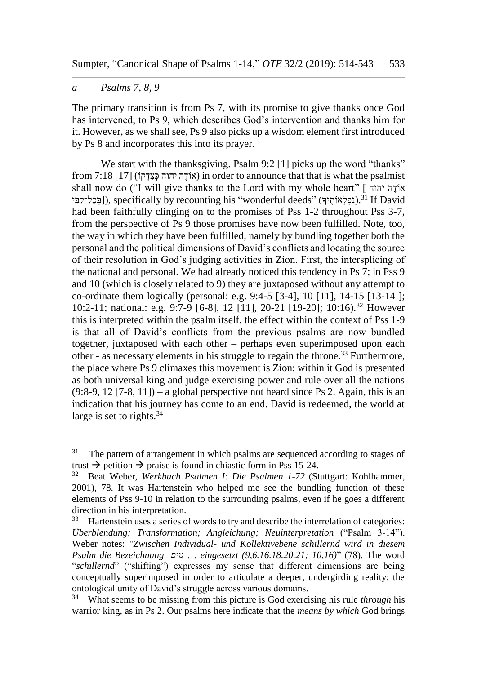#### *a Psalms 7, 8, 9*

 $\overline{a}$ 

The primary transition is from Ps 7, with its promise to give thanks once God has intervened, to Ps 9, which describes God's intervention and thanks him for it. However, as we shall see, Ps 9 also picks up a wisdom element first introduced by Ps 8 and incorporates this into its prayer.

We start with the thanksgiving. Psalm 9:2 [1] picks up the word "thanks" from 7:18 [17] (אוֹדֶה יהוה כִּצְדְקוֹ) in order to announce that that is what the psalmist shall now do ("I will give thanks to the Lord with my whole heart" [ יהוה הדוה ָרְבְּלִ־לִּבִּי), specifically by recounting his "wonderful deeds" (בְּכָל־לִבִּי). $^{31}$  If David had been faithfully clinging on to the promises of Pss 1-2 throughout Pss 3-7, from the perspective of Ps 9 those promises have now been fulfilled. Note, too, the way in which they have been fulfilled, namely by bundling together both the personal and the political dimensions of David's conflicts and locating the source of their resolution in God's judging activities in Zion. First, the intersplicing of the national and personal. We had already noticed this tendency in Ps 7; in Pss 9 and 10 (which is closely related to 9) they are juxtaposed without any attempt to co-ordinate them logically (personal: e.g. 9:4-5 [3-4], 10 [11], 14-15 [13-14 ]; 10:2-11; national: e.g. 9:7-9 [6-8], 12 [11], 20-21 [19-20]; 10:16).<sup>32</sup> However this is interpreted within the psalm itself, the effect within the context of Pss 1-9 is that all of David's conflicts from the previous psalms are now bundled together, juxtaposed with each other – perhaps even superimposed upon each other - as necessary elements in his struggle to regain the throne.<sup>33</sup> Furthermore, the place where Ps 9 climaxes this movement is Zion; within it God is presented as both universal king and judge exercising power and rule over all the nations  $(9:8-9, 12 [7-8, 11])$  – a global perspective not heard since Ps 2. Again, this is an indication that his journey has come to an end. David is redeemed, the world at large is set to rights. $34$ 

 $31$  The pattern of arrangement in which psalms are sequenced according to stages of trust  $\rightarrow$  petition  $\rightarrow$  praise is found in chiastic form in Pss 15-24.

<sup>32</sup> Beat Weber, *Werkbuch Psalmen I: Die Psalmen 1-72* (Stuttgart: Kohlhammer, 2001), 78. It was Hartenstein who helped me see the bundling function of these elements of Pss 9-10 in relation to the surrounding psalms, even if he goes a different direction in his interpretation.

 $33$  Hartenstein uses a series of words to try and describe the interrelation of categories: *Überblendung; Transformation; Angleichung; Neuinterpretation* ("Psalm 3-14"). Weber notes: "*Zwischen Individual- und Kollektivebene schillernd wird in diesem Psalm die Bezeichnung גוים* ... *eingesetzt (9,6.16.18.20.21; 10,16)*" (78). The word "schillernd" ("shifting") expresses my sense that different dimensions are being conceptually superimposed in order to articulate a deeper, undergirding reality: the ontological unity of David's struggle across various domains.<br><sup>34</sup> What seems to be missing from this picture is God exerci-

<sup>34</sup> What seems to be missing from this picture is God exercising his rule *through* his warrior king, as in Ps 2. Our psalms here indicate that the *means by which* God brings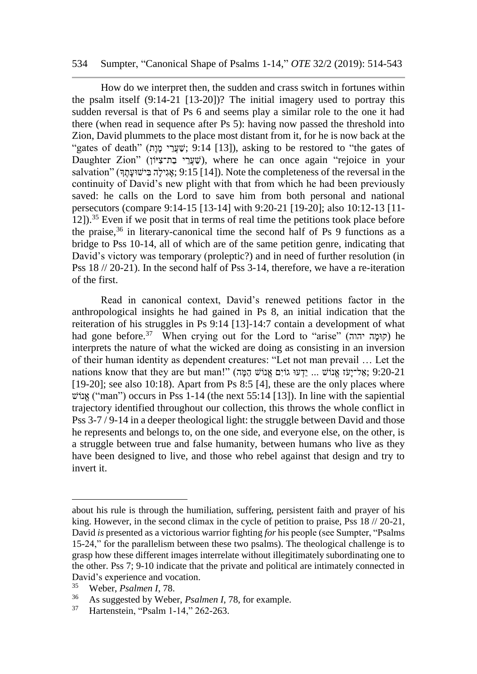#### 534 Sumpter, "Canonical Shape of Psalms 1-14," *OTE* 32/2 (2019): 514-543

How do we interpret then, the sudden and crass switch in fortunes within the psalm itself (9:14-21 [13-20])? The initial imagery used to portray this sudden reversal is that of Ps 6 and seems play a similar role to the one it had there (when read in sequence after Ps 5): having now passed the threshold into Zion, David plummets to the place most distant from it, for he is now back at the "gates of death" (שִׁעֲרֵי מַוֵת); 9:14 [13]), asking to be restored to "the gates of Daughter Zion" (שַׁעֲרֵי בְּת־צִיוֹן), where he can once again "rejoice in your salvation" (אגילה בישועתך; 9:15 [14]). Note the completeness of the reversal in the continuity of David's new plight with that from which he had been previously saved: he calls on the Lord to save him from both personal and national persecutors (compare 9:14-15 [13-14] with 9:20-21 [19-20]; also 10:12-13 [11- 12]).<sup>35</sup> Even if we posit that in terms of real time the petitions took place before the praise,  $36$  in literary-canonical time the second half of Ps 9 functions as a bridge to Pss 10-14, all of which are of the same petition genre, indicating that David's victory was temporary (proleptic?) and in need of further resolution (in Pss 18 // 20-21). In the second half of Pss 3-14, therefore, we have a re-iteration of the first.

Read in canonical context, David's renewed petitions factor in the anthropological insights he had gained in Ps 8, an initial indication that the reiteration of his struggles in Ps 9:14 [13]-14:7 contain a development of what had gone before.<sup>37</sup> When crying out for the Lord to "arise" (קוּמָה יהוה) he interprets the nature of what the wicked are doing as consisting in an inversion of their human identity as dependent creatures: "Let not man prevail … Let the nations know that they are but man!" (אֲלֹ־יִעֹז אֲנוֹשׁ הֵמֵה; 9:20-21  $[19-20]$ ; see also 10:18). Apart from Ps 8:5 [4], these are the only places where שׁגּוֹשׁ ("man") occurs in Pss 1-14 (the next 55:14 [13]). In line with the sapiential trajectory identified throughout our collection, this throws the whole conflict in Pss 3-7 / 9-14 in a deeper theological light: the struggle between David and those he represents and belongs to, on the one side, and everyone else, on the other, is a struggle between true and false humanity, between humans who live as they have been designed to live, and those who rebel against that design and try to invert it.

about his rule is through the humiliation, suffering, persistent faith and prayer of his king. However, in the second climax in the cycle of petition to praise, Pss 18 // 20-21, David *is* presented as a victorious warrior fighting *for* his people (see Sumpter, "Psalms 15-24," for the parallelism between these two psalms). The theological challenge is to grasp how these different images interrelate without illegitimately subordinating one to the other. Pss 7; 9-10 indicate that the private and political are intimately connected in David's experience and vocation.

<sup>35</sup> Weber, *Psalmen I*, 78.

<sup>&</sup>lt;sup>36</sup> As suggested by Weber, *Psalmen I*, 78, for example.<br><sup>37</sup> Hartanstain "Psalm 1 14" 262 263

Hartenstein, "Psalm 1-14," 262-263.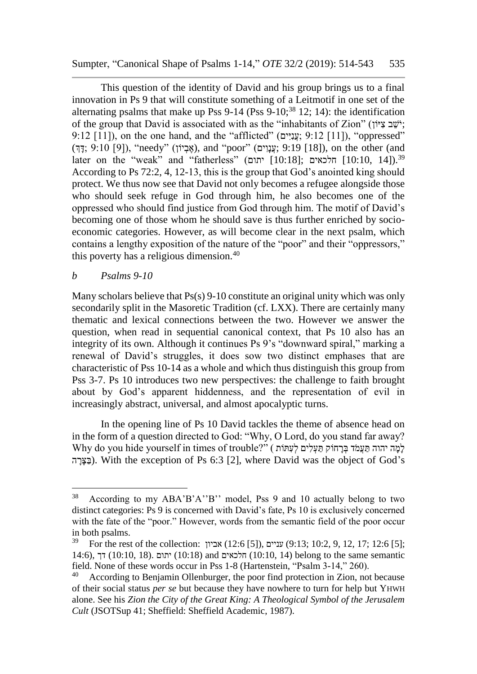Sumpter, "Canonical Shape of Psalms 1-14," *OTE* 32/2 (2019): 514-543 535

This question of the identity of David and his group brings us to a final innovation in Ps 9 that will constitute something of a Leitmotif in one set of the alternating psalms that make up Pss 9-14 (Pss  $\frac{9-10;38}{12}$ ; 14): the identification of the group that David is associated with as the "inhabitants of Zion" (וֹשֶׁב צִיּוֹן); 9:12 [11]), on the one hand, and the "afflicted" (עניים; 9:12 [11]), "oppressed" (אֶבְיוֹן), "needy" (אֱבִיוֹן), and "poor" (אֲנָוִים), 9:19 [18]), on the other (and later on the "weak" and "fatherless" (יתום) 10:18]; יתום] 10:10, 14 $[10:10, 14]$ . <sup>39</sup> According to Ps 72:2, 4, 12-13, this is the group that God's anointed king should protect. We thus now see that David not only becomes a refugee alongside those who should seek refuge in God through him, he also becomes one of the oppressed who should find justice from God through him. The motif of David's becoming one of those whom he should save is thus further enriched by socioeconomic categories. However, as will become clear in the next psalm, which contains a lengthy exposition of the nature of the "poor" and their "oppressors," this poverty has a religious dimension.<sup>40</sup>

### *b Psalms 9-10*

Many scholars believe that Ps(s) 9-10 constitute an original unity which was only secondarily split in the Masoretic Tradition (cf. LXX). There are certainly many thematic and lexical connections between the two. However we answer the question, when read in sequential canonical context, that Ps 10 also has an integrity of its own. Although it continues Ps 9's "downward spiral," marking a renewal of David's struggles, it does sow two distinct emphases that are characteristic of Pss 10-14 as a whole and which thus distinguish this group from Pss 3-7. Ps 10 introduces two new perspectives: the challenge to faith brought about by God's apparent hiddenness, and the representation of evil in increasingly abstract, universal, and almost apocalyptic turns.

In the opening line of Ps 10 David tackles the theme of absence head on in the form of a question directed to God: "Why, O Lord, do you stand far away? לָמָ ה יהוה ּתַ עֲמֹד בְׂ רָ חֹוק ּתַ עְׂ לִּים לְׂעִּ ּתֹות ) "?trouble of times in yourself hide you do Why ה ָרָצַב(. With the exception of Ps 6:3 [2], where David was the object of God's

<sup>38</sup> According to my ABA'B'A''B'' model, Pss 9 and 10 actually belong to two distinct categories: Ps 9 is concerned with David's fate, Ps 10 is exclusively concerned with the fate of the "poor." However, words from the semantic field of the poor occur in both psalms.<br> $^{39}$  For the rest

<sup>39</sup> For the rest of the collection: אביון) 12:6] 5([, עניים) 9:13 ;10:2, 9, 12, 17 ;12:6] 5 ;[ 14:6), דך (10:10, 18). יתום (10:18) and חלכאים (10:10, 14) belong to the same semantic field. None of these words occur in Pss 1-8 (Hartenstein, "Psalm 3-14," 260).

According to Benjamin Ollenburger, the poor find protection in Zion, not because of their social status *per se* but because they have nowhere to turn for help but YHWH alone. See his *Zion the City of the Great King: A Theological Symbol of the Jerusalem Cult* (JSOTSup 41; Sheffield: Sheffield Academic, 1987).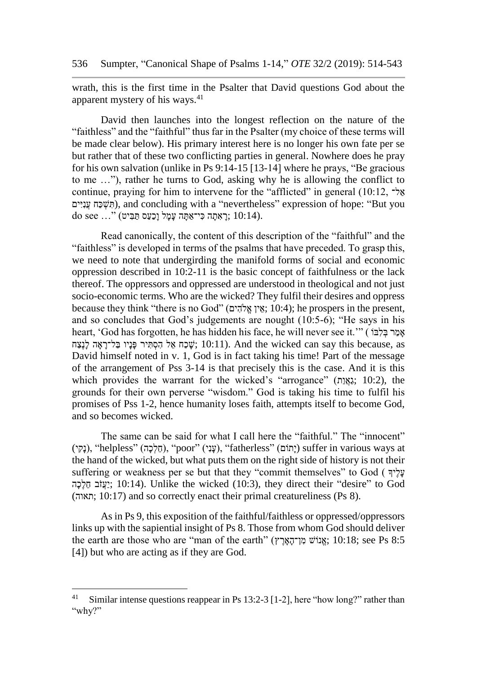wrath, this is the first time in the Psalter that David questions God about the apparent mystery of his ways.<sup>41</sup>

David then launches into the longest reflection on the nature of the "faithless" and the "faithful" thus far in the Psalter (my choice of these terms will be made clear below). His primary interest here is no longer his own fate per se but rather that of these two conflicting parties in general. Nowhere does he pray for his own salvation (unlike in Ps 9:14-15 [13-14] where he prays, "Be gracious to me …"), rather he turns to God, asking why he is allowing the conflict to continue, praying for him to intervene for the "afflicted" in general (10:12,  $\rightarrow$   $\times$ ייםִּּנִּעֲ כחַ שְׁׂ תִּּ( , and concluding with a "nevertheless" expression of hope: "But you ל. (10:14 האָתָה כִּי־אָתָּה עַמַל וַכַעַס תַּבִּיט) (10:14.

Read canonically, the content of this description of the "faithful" and the "faithless" is developed in terms of the psalms that have preceded. To grasp this, we need to note that undergirding the manifold forms of social and economic oppression described in 10:2-11 is the basic concept of faithfulness or the lack thereof. The oppressors and oppressed are understood in theological and not just socio-economic terms. Who are the wicked? They fulfil their desires and oppress because they think "there is no God" (אֵין אֱלֹהֶים; 10:4); he prospers in the present, and so concludes that God's judgements are nought (10:5-6); "He says in his heart, 'God has forgotten, he has hidden his face, he will never see it.'" ( אֲמֵר בִּלְבּוֹ שָׁכָה אֵל הִסְתִּיר פַּנַיו בַל־רַאֲה לַנְצָח  $\dddot{y}$ ; 10:11). And the wicked can say this because, as David himself noted in v. 1, God is in fact taking his time! Part of the message of the arrangement of Pss 3-14 is that precisely this is the case. And it is this which provides the warrant for the wicked's "arrogance" (גַאֲנָת; 10:2), the grounds for their own perverse "wisdom." God is taking his time to fulfil his promises of Pss 1-2, hence humanity loses faith, attempts itself to become God, and so becomes wicked.

The same can be said for what I call here the "faithful." The "innocent"  $($ יָתוֹם), "helpless" (חֵלְכָה), "poor" (עָנִי), "fatherless" (יָתוֹם) suffer in various ways at the hand of the wicked, but what puts them on the right side of history is not their suffering or weakness per se but that they "commit themselves" to God ( ךָיֶלָע יָעֲזֹב חֲלְכָה ;10:14). Unlike the wicked (10:3), they direct their "desire" to God (תאוה ;10:17 (and so correctly enact their primal creatureliness (Ps 8).

As in Ps 9, this exposition of the faithful/faithless or oppressed/oppressors links up with the sapiential insight of Ps 8. Those from whom God should deliver the earth are those who are "man of the earth" (אֲנוֹשׁ מִן־הָאֲרֵץ "אֲנוֹשׁ בָּוֹנֵאֵל ;10:18; see Ps 8:5 [4]) but who are acting as if they are God.

l

<sup>&</sup>lt;sup>41</sup> Similar intense questions reappear in Ps 13:2-3 [1-2], here "how long?" rather than "why?"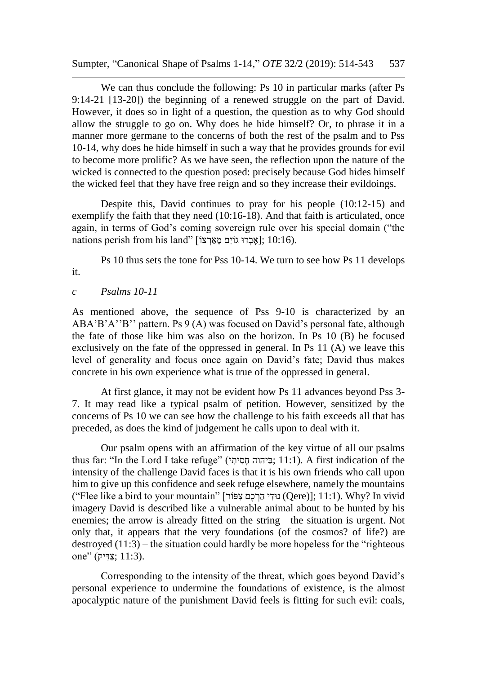We can thus conclude the following: Ps 10 in particular marks (after Ps 9:14-21 [13-20]) the beginning of a renewed struggle on the part of David. However, it does so in light of a question, the question as to why God should allow the struggle to go on. Why does he hide himself? Or, to phrase it in a manner more germane to the concerns of both the rest of the psalm and to Pss 10-14, why does he hide himself in such a way that he provides grounds for evil to become more prolific? As we have seen, the reflection upon the nature of the wicked is connected to the question posed: precisely because God hides himself the wicked feel that they have free reign and so they increase their evildoings.

Despite this, David continues to pray for his people (10:12-15) and exemplify the faith that they need (10:16-18). And that faith is articulated, once again, in terms of God's coming sovereign rule over his special domain ("the nations perish from his land" [אָבְדוּ גוֹיִם מֵאֵרְצוֹ]; 10:16).

Ps 10 thus sets the tone for Pss 10-14. We turn to see how Ps 11 develops it.

#### *c Psalms 10-11*

As mentioned above, the sequence of Pss 9-10 is characterized by an ABA'B'A''B'' pattern. Ps 9 (A) was focused on David's personal fate, although the fate of those like him was also on the horizon. In Ps 10 (B) he focused exclusively on the fate of the oppressed in general. In Ps 11 (A) we leave this level of generality and focus once again on David's fate; David thus makes concrete in his own experience what is true of the oppressed in general.

At first glance, it may not be evident how Ps 11 advances beyond Pss 3- 7. It may read like a typical psalm of petition. However, sensitized by the concerns of Ps 10 we can see how the challenge to his faith exceeds all that has preceded, as does the kind of judgement he calls upon to deal with it.

Our psalm opens with an affirmation of the key virtue of all our psalms thus far: "In the Lord I take refuge" (ביהוה חסיתי; 11:1). A first indication of the intensity of the challenge David faces is that it is his own friends who call upon him to give up this confidence and seek refuge elsewhere, namely the mountains ("Flee like a bird to your mountain" [ורֹפ ִּצ םֶכ ְׂרַה י ִּודּנ) Qere)]; 11:1). Why? In vivid imagery David is described like a vulnerable animal about to be hunted by his enemies; the arrow is already fitted on the string—the situation is urgent. Not only that, it appears that the very foundations (of the cosmos? of life?) are destroyed (11:3) – the situation could hardly be more hopeless for the "righteous one" (צַדִּיק: 11:3).

Corresponding to the intensity of the threat, which goes beyond David's personal experience to undermine the foundations of existence, is the almost apocalyptic nature of the punishment David feels is fitting for such evil: coals,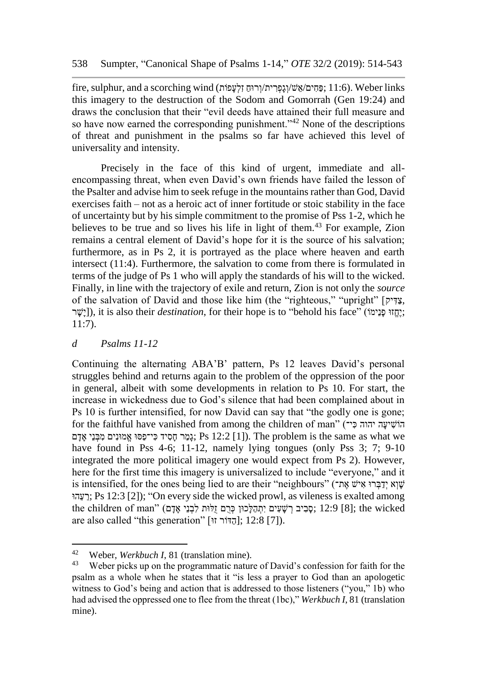fire, sulphur, and a scorching wind (פָּחִים/אֵשׁ/וְגָפְרִית/וְיוּהָ זָלְעֲפֹוֹת) (11:6). Weber links this imagery to the destruction of the Sodom and Gomorrah (Gen 19:24) and draws the conclusion that their "evil deeds have attained their full measure and so have now earned the corresponding punishment."<sup>42</sup> None of the descriptions of threat and punishment in the psalms so far have achieved this level of universality and intensity.

Precisely in the face of this kind of urgent, immediate and allencompassing threat, when even David's own friends have failed the lesson of the Psalter and advise him to seek refuge in the mountains rather than God, David exercises faith – not as a heroic act of inner fortitude or stoic stability in the face of uncertainty but by his simple commitment to the promise of Pss 1-2, which he believes to be true and so lives his life in light of them.<sup>43</sup> For example, Zion remains a central element of David's hope for it is the source of his salvation; furthermore, as in Ps 2, it is portrayed as the place where heaven and earth intersect (11:4). Furthermore, the salvation to come from there is formulated in terms of the judge of Ps 1 who will apply the standards of his will to the wicked. Finally, in line with the trajectory of exile and return, Zion is not only the *source* of the salvation of David and those like him (the "righteous," "upright" [אֲדִיק], ר ָשָׁי([, it is also their *destination*, for their hope is to "behold his face" (וֹימֵנָפ וּזֱחֶי ; 11:7).

# *d Psalms 11-12*

 $\overline{a}$ 

Continuing the alternating ABA'B' pattern, Ps 12 leaves David's personal struggles behind and returns again to the problem of the oppression of the poor in general, albeit with some developments in relation to Ps 10. For start, the increase in wickedness due to God's silence that had been complained about in Ps 10 is further intensified, for now David can say that "the godly one is gone; for the faithful have vanished from among the children of man" (הוֹשִׁיעֲה יהוה כִּי־ גַמֵּר חָסִיד כִּי־פַסּוּ אֱמּוּנִים מִבְּנֵי אַדָם; Ps 12:2 [1]). The problem is the same as what we have found in Pss 4-6; 11-12, namely lying tongues (only Pss 3; 7; 9-10) integrated the more political imagery one would expect from Ps 2). However, here for the first time this imagery is universalized to include "everyone," and it is intensified, for the ones being lied to are their "neighbours" ("מְוֹא יְדַבְּרוּ אִישׁ אֶת־) is וּהֵע ֵר ;Ps 12:3 [2]); "On every side the wicked prowl, as vileness is exalted among the children of man" (כְּבִי אָדָם זָלּוּת לִבְנֵי אָדָם; 12:9 [8]; the wicked are also called "this generation" [הֲדּוֹר זוּ]; 12:8 [7]).

<sup>&</sup>lt;sup>42</sup> Weber, *Werkbuch I*, 81 (translation mine).

Weber picks up on the programmatic nature of David's confession for faith for the psalm as a whole when he states that it "is less a prayer to God than an apologetic witness to God's being and action that is addressed to those listeners ("you," 1b) who had advised the oppressed one to flee from the threat (1bc)," *Werkbuch I*, 81 (translation mine).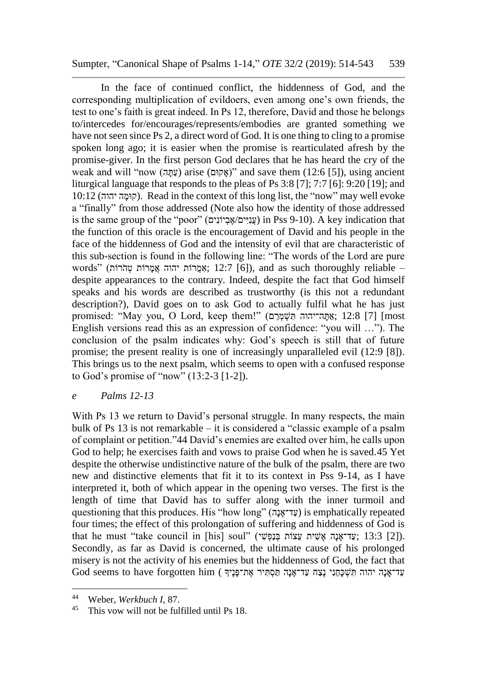Sumpter, "Canonical Shape of Psalms 1-14," *OTE* 32/2 (2019): 514-543 539

In the face of continued conflict, the hiddenness of God, and the corresponding multiplication of evildoers, even among one's own friends, the test to one's faith is great indeed. In Ps 12, therefore, David and those he belongs to/intercedes for/encourages/represents/embodies are granted something we have not seen since Ps 2, a direct word of God. It is one thing to cling to a promise spoken long ago; it is easier when the promise is rearticulated afresh by the promise-giver. In the first person God declares that he has heard the cry of the weak and will "now (עתּה) arise (וואקוּם) arise (אקוּם) arise (ו $\lambda$  save them (12:6 [5]), using ancient liturgical language that responds to the pleas of Ps 3:8 [7]; 7:7 [6]: 9:20 [19]; and 10:12 (קוּמַה יהוה). Read in the context of this long list, the "now" may well evoke a "finally" from those addressed (Note also how the identity of those addressed is the same group of the "poor" (עֲנָיִים/אֵבְיוֹנִים) in Pss 9-10). A key indication that the function of this oracle is the encouragement of David and his people in the face of the hiddenness of God and the intensity of evil that are characteristic of this sub-section is found in the following line: "The words of the Lord are pure words" (אֲמֲרוֹת יהוה אֲמָרוֹת יהוה אֲמָרוֹת יהוה אֲמֹרוֹת), and as such thoroughly reliable  $$ despite appearances to the contrary. Indeed, despite the fact that God himself speaks and his words are described as trustworthy (is this not a redundant description?), David goes on to ask God to actually fulfil what he has just promised: "May you, O Lord, keep them!" (אַתַּה־יהוה תִּשָׁמְרֵם; 12:8 [7] [most English versions read this as an expression of confidence: "you will …"). The conclusion of the psalm indicates why: God's speech is still that of future promise; the present reality is one of increasingly unparalleled evil (12:9 [8]). This brings us to the next psalm, which seems to open with a confused response to God's promise of "now" (13:2-3 [1-2]).

# *e Palms 12-13*

With Ps 13 we return to David's personal struggle. In many respects, the main bulk of Ps 13 is not remarkable – it is considered a "classic example of a psalm of complaint or petition."44 David's enemies are exalted over him, he calls upon God to help; he exercises faith and vows to praise God when he is saved.45 Yet despite the otherwise undistinctive nature of the bulk of the psalm, there are two new and distinctive elements that fit it to its context in Pss 9-14, as I have interpreted it, both of which appear in the opening two verses. The first is the length of time that David has to suffer along with the inner turmoil and questioning that this produces. His "how long" (הָנ ָד־אַע (is emphatically repeated four times; the effect of this prolongation of suffering and hiddenness of God is that he must "take council in [his] soul" (עֲד־אֲנָה אֲשִׁית עֲצוֹת בְּנַפְּשִׁי) "soul" (עֲד־אֲנָה אֲשִׁית עֲצוֹת ב Secondly, as far as David is concerned, the ultimate cause of his prolonged misery is not the activity of his enemies but the hiddenness of God, the fact that God seems to have forgotten him ( אָת־פָּנֶיִךְ אֶת־פָּנֵיךָ ) און האָ נָצַח עַד־אֲנָה יהוה הִ

 $44$ <sup>44</sup> Weber, *Werkbuch I*, 87.

This vow will not be fulfilled until Ps 18.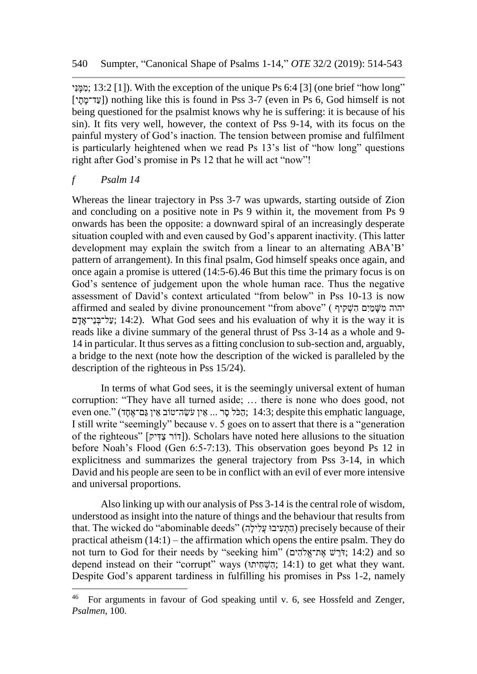יִמְמֶּנִי; 13:2 [1]). With the exception of the unique Ps 6:4 [3] (one brief "how long" [עֲד־מַתֵּי]) nothing like this is found in Pss 3-7 (even in Ps 6, God himself is not being questioned for the psalmist knows why he is suffering: it is because of his sin). It fits very well, however, the context of Pss 9-14, with its focus on the painful mystery of God's inaction. The tension between promise and fulfilment is particularly heightened when we read Ps 13's list of "how long" questions right after God's promise in Ps 12 that he will act "now"!

# *f Psalm 14*

l

Whereas the linear trajectory in Pss 3-7 was upwards, starting outside of Zion and concluding on a positive note in Ps 9 within it, the movement from Ps 9 onwards has been the opposite: a downward spiral of an increasingly desperate situation coupled with and even caused by God's apparent inactivity. (This latter development may explain the switch from a linear to an alternating ABA'B' pattern of arrangement). In this final psalm, God himself speaks once again, and once again a promise is uttered (14:5-6).46 But this time the primary focus is on God's sentence of judgement upon the whole human race. Thus the negative assessment of David's context articulated "from below" in Pss 10-13 is now יהוה מִשָּׁמַיִם הָשִׁקִיף ) "affirmed and sealed by divine pronouncement "from above ַעֲל<sup>-</sup>בַּנֵי־אִדם; 14:2). What God sees and his evaluation of why it is the way it is reads like a divine summary of the general thrust of Pss 3-14 as a whole and 9- 14 in particular. It thus serves as a fitting conclusion to sub-section and, arguably, a bridge to the next (note how the description of the wicked is paralleled by the description of the righteous in Pss 15/24).

In terms of what God sees, it is the seemingly universal extent of human corruption: "They have all turned aside; … there is none who does good, not even one." (הַכֹּל סַר ... אֵין עֹשֶׂה־טוֹב אֵין גַם־אֶחֶד; 14:3; despite this emphatic language, I still write "seemingly" because v. 5 goes on to assert that there is a "generation of the righteous" [דוֹר צדיק]). Scholars have noted here allusions to the situation before Noah's Flood (Gen 6:5-7:13). This observation goes beyond Ps 12 in explicitness and summarizes the general trajectory from Pss 3-14, in which David and his people are seen to be in conflict with an evil of ever more intensive and universal proportions.

Also linking up with our analysis of Pss 3-14 is the central role of wisdom, understood as insight into the nature of things and the behaviour that results from that. The wicked do "abominable deeds" (הִתְעִיבוּ עֲלִילֵה) precisely because of their practical atheism  $(14:1)$  – the affirmation which opens the entire psalm. They do not turn to God for their needs by "seeking him" (יִדּּבִישׁ אֶת־אֱלֹהִים; 14:2) and so depend instead on their "corrupt" ways (הָשׁתְּיתוּ; 14:1) to get what they want. Despite God's apparent tardiness in fulfilling his promises in Pss 1-2, namely

<sup>46</sup> For arguments in favour of God speaking until v. 6, see Hossfeld and Zenger, *Psalmen*, 100.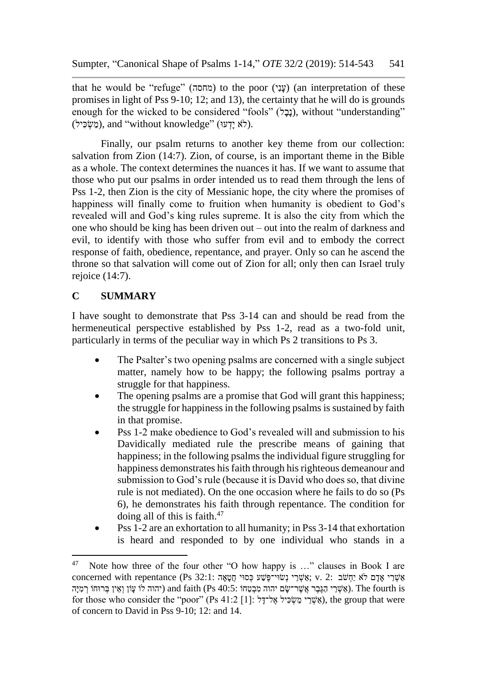that he would be "refuge" (מחסה) to the poor (עֲנָי) (an interpretation of these promises in light of Pss 9-10; 12; and 13), the certainty that he will do is grounds enough for the wicked to be considered "fools" (נָבָל), without "understanding" (מַשְׂכִּיל), and "without knowledge" (דָעוּ).

Finally, our psalm returns to another key theme from our collection: salvation from Zion (14:7). Zion, of course, is an important theme in the Bible as a whole. The context determines the nuances it has. If we want to assume that those who put our psalms in order intended us to read them through the lens of Pss 1-2, then Zion is the city of Messianic hope, the city where the promises of happiness will finally come to fruition when humanity is obedient to God's revealed will and God's king rules supreme. It is also the city from which the one who should be king has been driven out – out into the realm of darkness and evil, to identify with those who suffer from evil and to embody the correct response of faith, obedience, repentance, and prayer. Only so can he ascend the throne so that salvation will come out of Zion for all; only then can Israel truly rejoice (14:7).

# **C SUMMARY**

l

I have sought to demonstrate that Pss 3-14 can and should be read from the hermeneutical perspective established by Pss 1-2, read as a two-fold unit, particularly in terms of the peculiar way in which Ps 2 transitions to Ps 3.

- The Psalter's two opening psalms are concerned with a single subject matter, namely how to be happy; the following psalms portray a struggle for that happiness.
- The opening psalms are a promise that God will grant this happiness; the struggle for happiness in the following psalms is sustained by faith in that promise.
- Pss 1-2 make obedience to God's revealed will and submission to his Davidically mediated rule the prescribe means of gaining that happiness; in the following psalms the individual figure struggling for happiness demonstrates his faith through his righteous demeanour and submission to God's rule (because it is David who does so, that divine rule is not mediated). On the one occasion where he fails to do so (Ps 6), he demonstrates his faith through repentance. The condition for doing all of this is faith.<sup>47</sup>
- Pss 1-2 are an exhortation to all humanity; in Pss 3-14 that exhortation is heard and responded to by one individual who stands in a

<sup>&</sup>lt;sup>47</sup> Note how three of the four other "O how happy is ..." clauses in Book I are concerned with repentance (Ps 32:1: אֲשֶׁרֵי נָשִׂוּי־פֶּשָׁע כְּסוּי חֲטָאָה ; v. 2: אֲשֶׁרֵי אֲדָם לֹא יַחְשֹׁב הַגֶּבֶר אֲשֶׁר־שֶׂם יהוה מִּבְטַחוֹ And faith (Ps 40:5: יהוה מִבְטַחוֹ רְמִיָּה). The fourth is for those who consider the "poor" (Ps 41:2 [1]: אֲלִ־דָּל אֱלֹ־דָּל (אֲשֶׁרֵי מַשְׂבָּיל אֱלֹ־דָּל (Ps 41:2 [1] of concern to David in Pss 9-10; 12: and 14.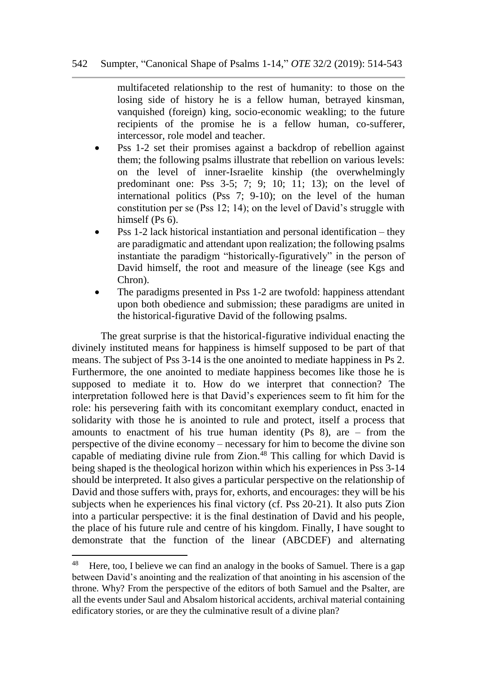multifaceted relationship to the rest of humanity: to those on the losing side of history he is a fellow human, betrayed kinsman, vanquished (foreign) king, socio-economic weakling; to the future recipients of the promise he is a fellow human, co-sufferer, intercessor, role model and teacher.

- Pss 1-2 set their promises against a backdrop of rebellion against them; the following psalms illustrate that rebellion on various levels: on the level of inner-Israelite kinship (the overwhelmingly predominant one: Pss 3-5; 7; 9; 10; 11; 13); on the level of international politics (Pss 7; 9-10); on the level of the human constitution per se (Pss 12; 14); on the level of David's struggle with himself (Ps 6).
- Pss 1-2 lack historical instantiation and personal identification they are paradigmatic and attendant upon realization; the following psalms instantiate the paradigm "historically-figuratively" in the person of David himself, the root and measure of the lineage (see Kgs and Chron).
- The paradigms presented in Pss 1-2 are twofold: happiness attendant upon both obedience and submission; these paradigms are united in the historical-figurative David of the following psalms.

The great surprise is that the historical-figurative individual enacting the divinely instituted means for happiness is himself supposed to be part of that means. The subject of Pss 3-14 is the one anointed to mediate happiness in Ps 2. Furthermore, the one anointed to mediate happiness becomes like those he is supposed to mediate it to. How do we interpret that connection? The interpretation followed here is that David's experiences seem to fit him for the role: his persevering faith with its concomitant exemplary conduct, enacted in solidarity with those he is anointed to rule and protect, itself a process that amounts to enactment of his true human identity (Ps  $8$ ), are – from the perspective of the divine economy – necessary for him to become the divine son capable of mediating divine rule from Zion.<sup>48</sup> This calling for which David is being shaped is the theological horizon within which his experiences in Pss 3-14 should be interpreted. It also gives a particular perspective on the relationship of David and those suffers with, prays for, exhorts, and encourages: they will be his subjects when he experiences his final victory (cf. Pss 20-21). It also puts Zion into a particular perspective: it is the final destination of David and his people, the place of his future rule and centre of his kingdom. Finally, I have sought to demonstrate that the function of the linear (ABCDEF) and alternating

l

<sup>&</sup>lt;sup>48</sup> Here, too, I believe we can find an analogy in the books of Samuel. There is a gap between David's anointing and the realization of that anointing in his ascension of the throne. Why? From the perspective of the editors of both Samuel and the Psalter, are all the events under Saul and Absalom historical accidents, archival material containing edificatory stories, or are they the culminative result of a divine plan?